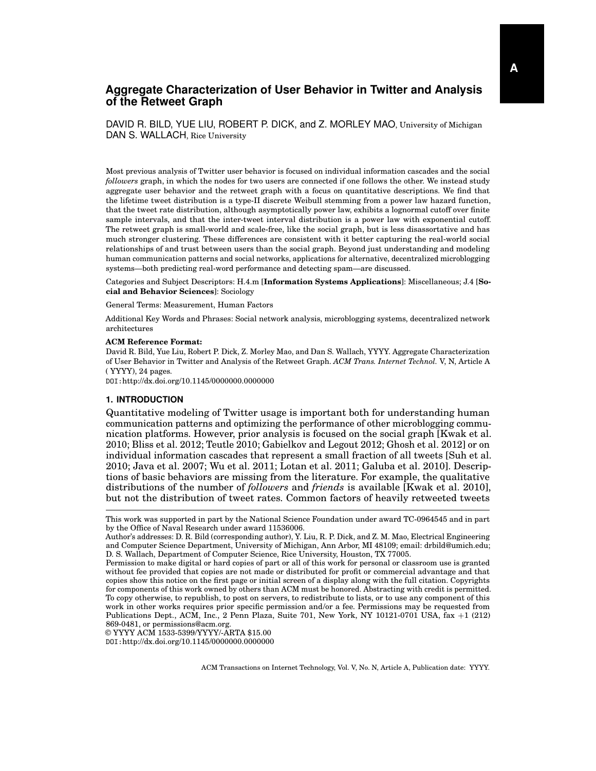# **Aggregate Characterization of User Behavior in Twitter and Analysis of the Retweet Graph**

DAVID R. BILD, YUE LIU, ROBERT P. DICK, and Z. MORLEY MAO, University of Michigan DAN S. WALLACH, Rice University

Most previous analysis of Twitter user behavior is focused on individual information cascades and the social *followers* graph, in which the nodes for two users are connected if one follows the other. We instead study aggregate user behavior and the retweet graph with a focus on quantitative descriptions. We find that the lifetime tweet distribution is a type-II discrete Weibull stemming from a power law hazard function, that the tweet rate distribution, although asymptotically power law, exhibits a lognormal cutoff over finite sample intervals, and that the inter-tweet interval distribution is a power law with exponential cutoff. The retweet graph is small-world and scale-free, like the social graph, but is less disassortative and has much stronger clustering. These differences are consistent with it better capturing the real-world social relationships of and trust between users than the social graph. Beyond just understanding and modeling human communication patterns and social networks, applications for alternative, decentralized microblogging systems—both predicting real-word performance and detecting spam—are discussed.

Categories and Subject Descriptors: H.4.m [**Information Systems Applications**]: Miscellaneous; J.4 [**Social and Behavior Sciences**]: Sociology

General Terms: Measurement, Human Factors

Additional Key Words and Phrases: Social network analysis, microblogging systems, decentralized network architectures

#### **ACM Reference Format:**

David R. Bild, Yue Liu, Robert P. Dick, Z. Morley Mao, and Dan S. Wallach, YYYY. Aggregate Characterization of User Behavior in Twitter and Analysis of the Retweet Graph. *ACM Trans. Internet Technol.* V, N, Article A ( YYYY), 24 pages.

DOI:http://dx.doi.org/10.1145/0000000.0000000

#### **1. INTRODUCTION**

Quantitative modeling of Twitter usage is important both for understanding human communication patterns and optimizing the performance of other microblogging communication platforms. However, prior analysis is focused on the social graph [\[Kwak et al.](#page-22-0) [2010;](#page-22-0) [Bliss et al.](#page-21-0) 2012; [Teutle 2010;](#page-23-0) [Gabielkov and Legout 2012;](#page-21-1) [Ghosh et al.](#page-21-2) 2012] or on individual information cascades that represent a small fraction of all tweets [\[Suh et al.](#page-23-1) [2010;](#page-23-1) [Java et al.](#page-22-1) 2007; [Wu et al.](#page-23-2) 2011; [Lotan et al.](#page-22-2) 2011; [Galuba et al.](#page-21-3) 2010]. Descriptions of basic behaviors are missing from the literature. For example, the qualitative distributions of the number of *followers* and *friends* is available [\[Kwak et al.](#page-22-0) 2010], but not the distribution of tweet rates. Common factors of heavily retweeted tweets

© YYYY ACM 1533-5399/YYYY/-ARTA \$15.00 DOI:http://dx.doi.org/10.1145/0000000.0000000

This work was supported in part by the National Science Foundation under award TC-0964545 and in part by the Office of Naval Research under award 11536006.

Author's addresses: D. R. Bild (corresponding author), Y. Liu, R. P. Dick, and Z. M. Mao, Electrical Engineering and Computer Science Department, University of Michigan, Ann Arbor, MI 48109; email: drbild@umich.edu; D. S. Wallach, Department of Computer Science, Rice University, Houston, TX 77005.

Permission to make digital or hard copies of part or all of this work for personal or classroom use is granted without fee provided that copies are not made or distributed for profit or commercial advantage and that copies show this notice on the first page or initial screen of a display along with the full citation. Copyrights for components of this work owned by others than ACM must be honored. Abstracting with credit is permitted. To copy otherwise, to republish, to post on servers, to redistribute to lists, or to use any component of this work in other works requires prior specific permission and/or a fee. Permissions may be requested from Publications Dept., ACM, Inc., 2 Penn Plaza, Suite 701, New York, NY 10121-0701 USA, fax +1 (212) 869-0481, or permissions@acm.org.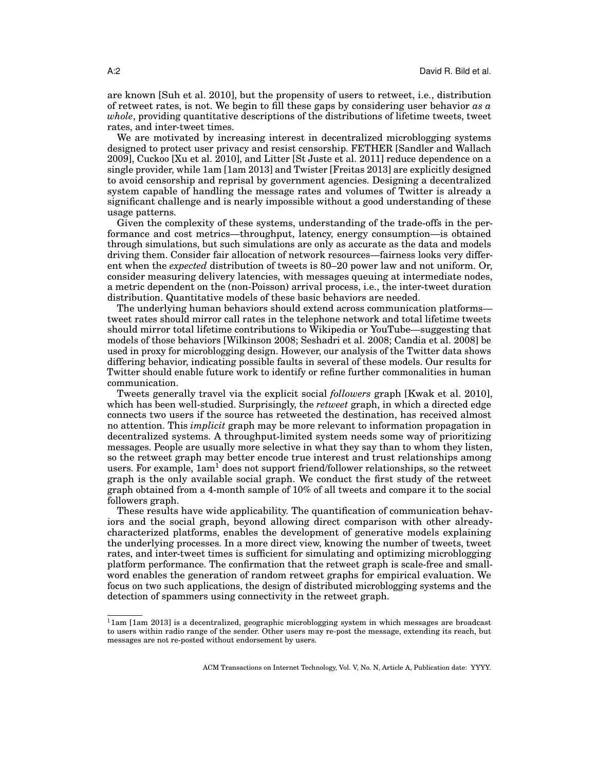are known [\[Suh et al.](#page-23-1) 2010], but the propensity of users to retweet, i.e., distribution of retweet rates, is not. We begin to fill these gaps by considering user behavior *as a whole*, providing quantitative descriptions of the distributions of lifetime tweets, tweet rates, and inter-tweet times.

We are motivated by increasing interest in decentralized microblogging systems designed to protect user privacy and resist censorship. FETHER [\[Sandler and Wallach](#page-22-3) [2009\]](#page-22-3), Cuckoo [\[Xu et al.](#page-23-3) 2010], and Litter [\[St Juste et al.](#page-23-4) 2011] reduce dependence on a single provider, while 1am [\[1am 2013\]](#page-21-4) and Twister [\[Freitas 2013\]](#page-21-5) are explicitly designed to avoid censorship and reprisal by government agencies. Designing a decentralized system capable of handling the message rates and volumes of Twitter is already a significant challenge and is nearly impossible without a good understanding of these usage patterns.

Given the complexity of these systems, understanding of the trade-offs in the performance and cost metrics—throughput, latency, energy consumption—is obtained through simulations, but such simulations are only as accurate as the data and models driving them. Consider fair allocation of network resources—fairness looks very different when the *expected* distribution of tweets is 80–20 power law and not uniform. Or, consider measuring delivery latencies, with messages queuing at intermediate nodes, a metric dependent on the (non-Poisson) arrival process, i.e., the inter-tweet duration distribution. Quantitative models of these basic behaviors are needed.

The underlying human behaviors should extend across communication platforms tweet rates should mirror call rates in the telephone network and total lifetime tweets should mirror total lifetime contributions to Wikipedia or YouTube—suggesting that models of those behaviors [\[Wilkinson 2008;](#page-23-5) [Seshadri et al.](#page-22-4) 2008; [Candia et al.](#page-21-6) 2008] be used in proxy for microblogging design. However, our analysis of the Twitter data shows differing behavior, indicating possible faults in several of these models. Our results for Twitter should enable future work to identify or refine further commonalities in human communication.

Tweets generally travel via the explicit social *followers* graph [\[Kwak et al.](#page-22-0) 2010], which has been well-studied. Surprisingly, the *retweet* graph, in which a directed edge connects two users if the source has retweeted the destination, has received almost no attention. This *implicit* graph may be more relevant to information propagation in decentralized systems. A throughput-limited system needs some way of prioritizing messages. People are usually more selective in what they say than to whom they listen, so the retweet graph may better encode true interest and trust relationships among users. For example,  $1am^1$  $1am^1$  does not support friend/follower relationships, so the retweet graph is the only available social graph. We conduct the first study of the retweet graph obtained from a 4-month sample of 10% of all tweets and compare it to the social followers graph.

These results have wide applicability. The quantification of communication behaviors and the social graph, beyond allowing direct comparison with other alreadycharacterized platforms, enables the development of generative models explaining the underlying processes. In a more direct view, knowing the number of tweets, tweet rates, and inter-tweet times is sufficient for simulating and optimizing microblogging platform performance. The confirmation that the retweet graph is scale-free and smallword enables the generation of random retweet graphs for empirical evaluation. We focus on two such applications, the design of distributed microblogging systems and the detection of spammers using connectivity in the retweet graph.

<span id="page-1-0"></span> $11$ am [\[1am 2013\]](#page-21-4) is a decentralized, geographic microblogging system in which messages are broadcast to users within radio range of the sender. Other users may re-post the message, extending its reach, but messages are not re-posted without endorsement by users.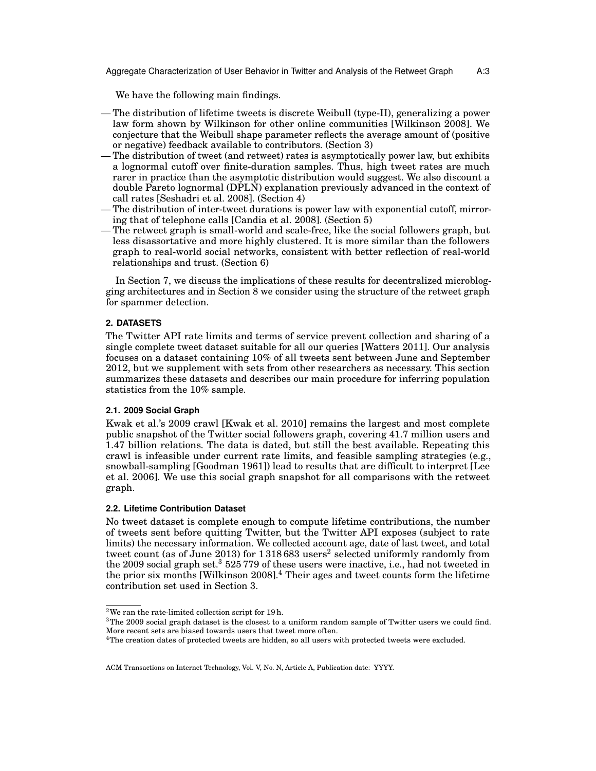Aggregate Characterization of User Behavior in Twitter and Analysis of the Retweet Graph A:3

We have the following main findings.

- The distribution of lifetime tweets is discrete Weibull (type-II), generalizing a power law form shown by Wilkinson for other online communities [\[Wilkinson 2008\]](#page-23-5). We conjecture that the Weibull shape parameter reflects the average amount of (positive or negative) feedback available to contributors. [\(Section 3\)](#page-4-0)
- The distribution of tweet (and retweet) rates is asymptotically power law, but exhibits a lognormal cutoff over finite-duration samples. Thus, high tweet rates are much rarer in practice than the asymptotic distribution would suggest. We also discount a double Pareto lognormal (DPLN) explanation previously advanced in the context of call rates [\[Seshadri et al. 2008\]](#page-22-4). [\(Section 4\)](#page-7-0)
- The distribution of inter-tweet durations is power law with exponential cutoff, mirroring that of telephone calls [\[Candia et al. 2008\]](#page-21-6). [\(Section 5\)](#page-10-0)
- The retweet graph is small-world and scale-free, like the social followers graph, but less disassortative and more highly clustered. It is more similar than the followers graph to real-world social networks, consistent with better reflection of real-world relationships and trust. [\(Section 6\)](#page-11-0)

In [Section 7,](#page-15-0) we discuss the implications of these results for decentralized microblogging architectures and in [Section 8](#page-16-0) we consider using the structure of the retweet graph for spammer detection.

# **2. DATASETS**

The Twitter API rate limits and terms of service prevent collection and sharing of a single complete tweet dataset suitable for all our queries [\[Watters 2011\]](#page-23-6). Our analysis focuses on a dataset containing 10% of all tweets sent between June and September 2012, but we supplement with sets from other researchers as necessary. This section summarizes these datasets and describes our main procedure for inferring population statistics from the 10% sample.

# **2.1. 2009 Social Graph**

Kwak et al.'s 2009 crawl [\[Kwak et al.](#page-22-0) 2010] remains the largest and most complete public snapshot of the Twitter social followers graph, covering 41.7 million users and 1.47 billion relations. The data is dated, but still the best available. Repeating this crawl is infeasible under current rate limits, and feasible sampling strategies (e.g., snowball-sampling [\[Goodman 1961\]](#page-22-5)) lead to results that are difficult to interpret [\[Lee](#page-22-6) [et al.](#page-22-6) 2006]. We use this social graph snapshot for all comparisons with the retweet graph.

# **2.2. Lifetime Contribution Dataset**

No tweet dataset is complete enough to compute lifetime contributions, the number of tweets sent before quitting Twitter, but the Twitter API exposes (subject to rate limits) the necessary information. We collected account age, date of last tweet, and total tweet count (as of June [2](#page-2-0)013) for  $1\,318\,683$  users $^2$  selected uniformly randomly from the 2009 social graph set.<sup>[3](#page-2-1)</sup> 525 779 of these users were inactive, i.e., had not tweeted in the prior six months [\[Wilkinson 2008\]](#page-23-5).[4](#page-2-2) Their ages and tweet counts form the lifetime contribution set used in [Section 3.](#page-4-0)

<span id="page-2-0"></span><sup>2</sup>We ran the rate-limited collection script for 19 h.

<span id="page-2-1"></span><sup>3</sup>The 2009 social graph dataset is the closest to a uniform random sample of Twitter users we could find. More recent sets are biased towards users that tweet more often.

<span id="page-2-2"></span><sup>4</sup>The creation dates of protected tweets are hidden, so all users with protected tweets were excluded.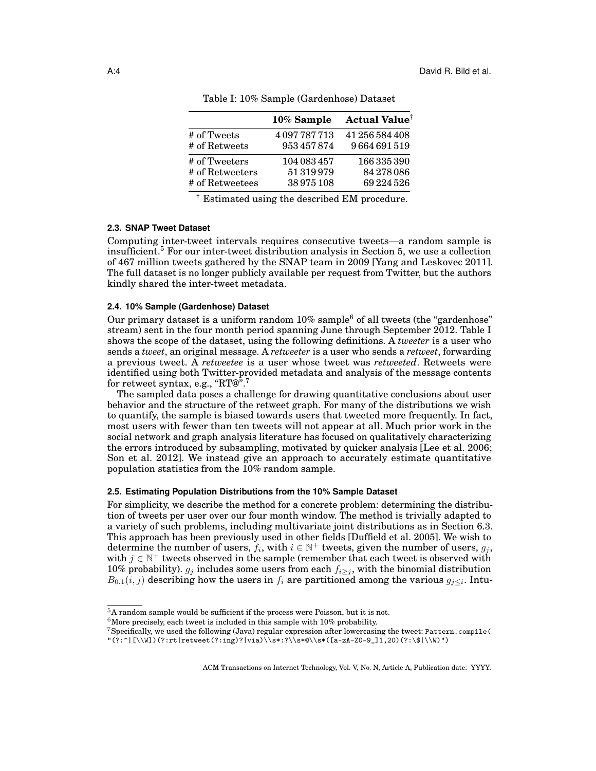<span id="page-3-2"></span>

|                 | 10% Sample  | <b>Actual Value</b> <sup>†</sup> |
|-----------------|-------------|----------------------------------|
| # of Tweets     | 4097787713  | 41 256 584 408                   |
| # of Retweets   | 953457874   | 9664691519                       |
| # of Tweeters   | 104 083 457 | 166335390                        |
| # of Retweeters | 51319979    | 84278086                         |
| # of Retweetees | 38975108    | 69224526                         |

Table I: 10% Sample (Gardenhose) Dataset

† Estimated using the described EM procedure.

# **2.3. SNAP Tweet Dataset**

Computing inter-tweet intervals requires consecutive tweets—a random sample is insufficient.[5](#page-3-0) For our inter-tweet distribution analysis in [Section 5,](#page-10-0) we use a collection of 467 million tweets gathered by the SNAP team in 2009 [\[Yang and Leskovec 2011\]](#page-23-7). The full dataset is no longer publicly available per request from Twitter, but the authors kindly shared the inter-tweet metadata.

# **2.4. 10% Sample (Gardenhose) Dataset**

Our primary dataset is a uniform random  $10\%$  sample<sup>[6](#page-3-1)</sup> of all tweets (the "gardenhose" stream) sent in the four month period spanning June through September 2012. [Table I](#page-3-2) shows the scope of the dataset, using the following definitions. A *tweeter* is a user who sends a *tweet*, an original message. A *retweeter* is a user who sends a *retweet*, forwarding a previous tweet. A *retweetee* is a user whose tweet was *retweeted*. Retweets were identified using both Twitter-provided metadata and analysis of the message contents for retweet syntax, e.g., "RT@".[7](#page-3-3)

The sampled data poses a challenge for drawing quantitative conclusions about user behavior and the structure of the retweet graph. For many of the distributions we wish to quantify, the sample is biased towards users that tweeted more frequently. In fact, most users with fewer than ten tweets will not appear at all. Much prior work in the social network and graph analysis literature has focused on qualitatively characterizing the errors introduced by subsampling, motivated by quicker analysis [\[Lee et al.](#page-22-6) 2006; [Son et al.](#page-22-7) 2012]. We instead give an approach to accurately estimate quantitative population statistics from the 10% random sample.

# <span id="page-3-4"></span>**2.5. Estimating Population Distributions from the 10% Sample Dataset**

For simplicity, we describe the method for a concrete problem: determining the distribution of tweets per user over our four month window. The method is trivially adapted to a variety of such problems, including multivariate joint distributions as in [Section 6.3.](#page-12-0) This approach has been previously used in other fields [\[Duffield et al.](#page-21-7) 2005]. We wish to determine the number of users,  $f_i$ , with  $i \in \mathbb{N}^+$  tweets, given the number of users,  $g_j$ , with  $j \in \mathbb{N}^+$  tweets observed in the sample (remember that each tweet is observed with 10% probability).  $g_j$  includes some users from each  $f_{i\geq j}$ , with the binomial distribution  $B_{0.1}(i,j)$  describing how the users in  $f_i$  are partitioned among the various  $g_{j\leq i}$ . Intu-

<span id="page-3-0"></span><sup>5</sup>A random sample would be sufficient if the process were Poisson, but it is not.

<span id="page-3-1"></span> $6$ More precisely, each tweet is included in this sample with  $10\%$  probability.

<span id="page-3-3"></span><sup>7</sup>Specifically, we used the following (Java) regular expression after lowercasing the tweet: Pattern.compile(  $\lceil (2:^|[\{\W}]) (?:rt|\text{retveet}(?:ing)|via)\ \s*:\\$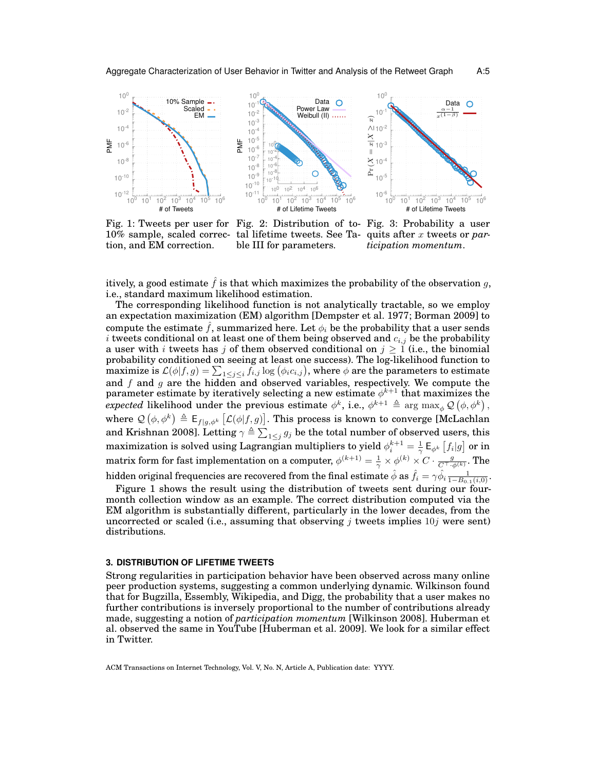<span id="page-4-1"></span>

10% sample, scaled correction, and EM correction.

Fig. 1: Tweets per user for Fig. 2: Distribution of to-Fig. 3: Probability a user [ble III](#page-5-0) for parameters.

tal lifetime tweets. See [Ta-](#page-5-0)quits after x tweets or *participation momentum*.

itively, a good estimate  $\hat{f}$  is that which maximizes the probability of the observation g, i.e., standard maximum likelihood estimation.

The corresponding likelihood function is not analytically tractable, so we employ an expectation maximization (EM) algorithm [\[Dempster et al.](#page-21-8) 1977; [Borman 2009\]](#page-21-9) to compute the estimate  $\hat{f}$ , summarized here. Let  $\phi_i$  be the probability that a user sends i tweets conditional on at least one of them being observed and  $c_{i,j}$  be the probability a user with i tweets has j of them observed conditional on  $j \geq 1$  (i.e., the binomial probability conditioned on seeing at least one success). The log-likelihood function to maximize is  $\mathcal{L}(\phi|f,g)=\sum_{1\leq j\leq i}f_{i,j}\log\big(\phi_ic_{i,j}\big)$ , where  $\phi$  are the parameters to estimate and  $f$  and  $g$  are the hidden and observed variables, respectively. We compute the parameter estimate by iteratively selecting a new estimate  $\phi^{k+1}$  that maximizes the  $expected \; likelihood \; under \; the \; previous \; estimate \; \phi^k, \; i.e., \; \phi^{k+1} \; \triangleq \; \arg \; \max_{\phi} \mathcal{Q}\left(\phi, \phi^k\right),$ where  $\mathcal{Q}(\phi, \phi^k) \triangleq \mathsf{E}_{f|g, \phi^k} [\mathcal{L}(\phi|f, g)].$  This process is known to converge [\[McLachlan](#page-22-8) [and Krishnan 2008\]](#page-22-8). Letting  $\gamma \triangleq \sum_{1 \leq j} g_j$  be the total number of observed users, this maximization is solved using Lagrangian multipliers to yield  $\phi_i^{k+1}=\frac{1}{\gamma}\,{\sf E}_{\phi^k}\left[f_i|g\right]$  or in matrix form for fast implementation on a computer,  $\phi^{(k+1)}=\frac{1}{\gamma}\times\phi^{(k)}\times C\cdot\frac{g}{C^\top\cdot\phi^{(k)}}.$  The hidden original frequencies are recovered from the final estimate  $\hat{\phi}$  as  $\hat{f}_i=\gamma\hat{\phi}_i\frac{1}{1-B_{0.1}(i,0)}.$ [Figure 1](#page-4-1) shows the result using the distribution of tweets sent during our fourmonth collection window as an example. The correct distribution computed via the

EM algorithm is substantially different, particularly in the lower decades, from the uncorrected or scaled (i.e., assuming that observing j tweets implies  $10j$  were sent) distributions.

#### <span id="page-4-0"></span>**3. DISTRIBUTION OF LIFETIME TWEETS**

Strong regularities in participation behavior have been observed across many online peer production systems, suggesting a common underlying dynamic. Wilkinson found that for Bugzilla, Essembly, Wikipedia, and Digg, the probability that a user makes no further contributions is inversely proportional to the number of contributions already made, suggesting a notion of *participation momentum* [\[Wilkinson 2008\]](#page-23-5). Huberman et al. observed the same in YouTube [\[Huberman et al.](#page-22-9) 2009]. We look for a similar effect in Twitter.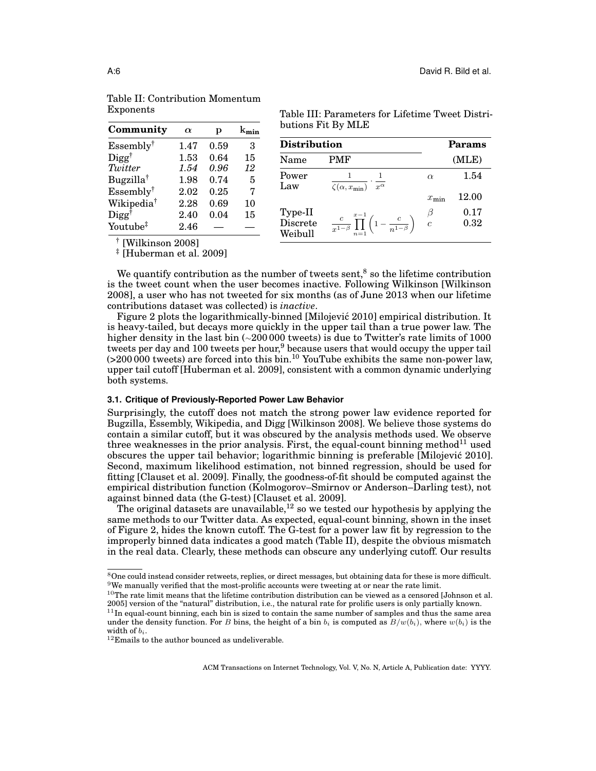| Community               | $\alpha$ | р    |    |
|-------------------------|----------|------|----|
| $Essembly^{\dagger}$    | 1.47     | 0.59 | 3  |
| $\text{Digg}^{\dagger}$ | 1.53     | 0.64 | 15 |
| Twitter                 | 1.54     | 0.96 | 12 |
| Bugzilla <sup>†</sup>   | 1.98     | 0.74 | 5  |
| Essembly <sup>†</sup>   | 2.02     | 0.25 | 7  |
| Wikipedia <sup>†</sup>  | 2.28     | 0.69 | 10 |
| $\text{Digg}^{\dagger}$ | 2.40     | 0.04 | 15 |
| Youtube <sup>‡</sup>    | 2.46     |      |    |

| Table III: Parameters for Lifetime Tweet Distri- |  |
|--------------------------------------------------|--|
| butions Fit By MLE                               |  |

| <b>Distribution</b>            | Params                                                                       |                   |              |
|--------------------------------|------------------------------------------------------------------------------|-------------------|--------------|
| Name                           | <b>PMF</b>                                                                   |                   | (MLE)        |
| Power<br>Law                   | $\overline{\zeta(\alpha,x_{\min})} \cdot \overline{x^{\alpha}}$              | $\alpha$          | 1.54         |
|                                |                                                                              | $x_{\min}$        | 12.00        |
| Type-II<br>Discrete<br>Weibull | $\frac{c}{x^{1-\beta}}\prod_{n=1}^{x-1}\left(1-\frac{c}{n^{1-\beta}}\right)$ | $\frac{\beta}{c}$ | 0.17<br>0.32 |

Exponents

<span id="page-5-0"></span>Table II: Contribution Momentum

† [\[Wilkinson 2008\]](#page-23-5) ‡ [\[Huberman et al. 2009\]](#page-22-9)

We quantify contribution as the number of tweets sent,<sup>[8](#page-5-1)</sup> so the lifetime contribution is the tweet count when the user becomes inactive. Following Wilkinson [\[Wilkinson](#page-23-5) [2008\]](#page-23-5), a user who has not tweeted for six months (as of June 2013 when our lifetime contributions dataset was collected) is *inactive*.

[Figure 2](#page-4-1) plots the logarithmically-binned [\[Milojevic 2010\]](#page-22-10) empirical distribution. It ´ is heavy-tailed, but decays more quickly in the upper tail than a true power law. The higher density in the last bin (∼200 000 tweets) is due to Twitter's rate limits of 1000 tweets per day and 100 tweets per hour,<sup>[9](#page-5-2)</sup> because users that would occupy the upper tail  $(>200\,000$  tweets) are forced into this bin.<sup>[10](#page-5-3)</sup> YouTube exhibits the same non-power law, upper tail cutoff [\[Huberman et al.](#page-22-9) 2009], consistent with a common dynamic underlying both systems.

# **3.1. Critique of Previously-Reported Power Law Behavior**

Surprisingly, the cutoff does not match the strong power law evidence reported for Bugzilla, Essembly, Wikipedia, and Digg [\[Wilkinson 2008\]](#page-23-5). We believe those systems do contain a similar cutoff, but it was obscured by the analysis methods used. We observe three weaknesses in the prior analysis. First, the equal-count binning method<sup>[11](#page-5-4)</sup> used obscures the upper tail behavior; logarithmic binning is preferable [\[Milojevic 2010\]](#page-22-10). ´ Second, maximum likelihood estimation, not binned regression, should be used for fitting [\[Clauset et al.](#page-21-10) 2009]. Finally, the goodness-of-fit should be computed against the empirical distribution function (Kolmogorov–Smirnov or Anderson–Darling test), not against binned data (the G-test) [\[Clauset et al. 2009\]](#page-21-10).

The original datasets are unavailable,  $12$  so we tested our hypothesis by applying the same methods to our Twitter data. As expected, equal-count binning, shown in the inset of [Figure 2,](#page-4-1) hides the known cutoff. The G-test for a power law fit by regression to the improperly binned data indicates a good match [\(Table II\)](#page-5-0), despite the obvious mismatch in the real data. Clearly, these methods can obscure any underlying cutoff. Our results

<span id="page-5-2"></span><span id="page-5-1"></span><sup>&</sup>lt;sup>8</sup>One could instead consider retweets, replies, or direct messages, but obtaining data for these is more difficult.  $9$ We manually verified that the most-prolific accounts were tweeting at or near the rate limit.

<span id="page-5-3"></span> $^{10}$ The rate limit means that the lifetime contribution distribution can be viewed as a censored [\[Johnson et al.](#page-22-11) [2005\]](#page-22-11) version of the "natural" distribution, i.e., the natural rate for prolific users is only partially known.

<span id="page-5-4"></span> $11$ In equal-count binning, each bin is sized to contain the same number of samples and thus the same area under the density function. For B bins, the height of a bin  $b_i$  is computed as  $B/w(b_i)$ , where  $w(b_i)$  is the width of  $b_i$ .

<span id="page-5-5"></span> $12$ Emails to the author bounced as undeliverable.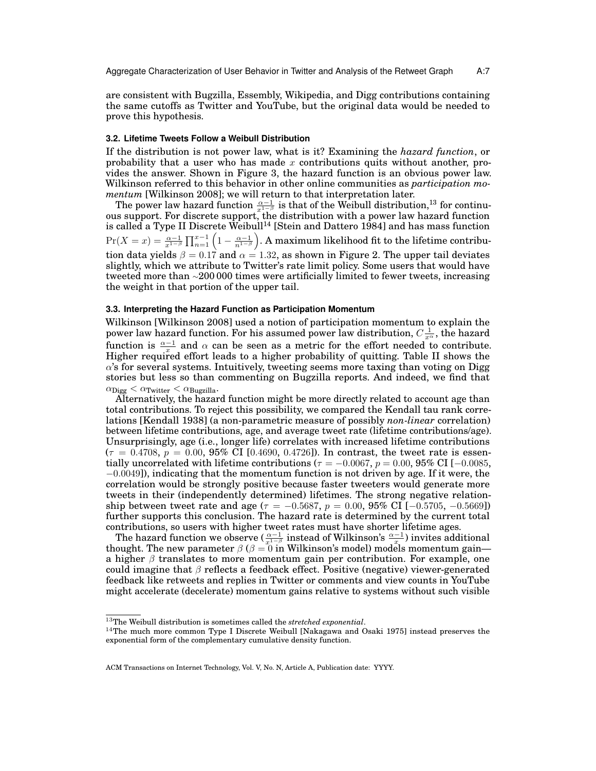are consistent with Bugzilla, Essembly, Wikipedia, and Digg contributions containing the same cutoffs as Twitter and YouTube, but the original data would be needed to prove this hypothesis.

#### **3.2. Lifetime Tweets Follow a Weibull Distribution**

If the distribution is not power law, what is it? Examining the *hazard function*, or probability that a user who has made  $x$  contributions quits without another, provides the answer. Shown in [Figure 3,](#page-4-1) the hazard function is an obvious power law. Wilkinson referred to this behavior in other online communities as *participation momentum* [\[Wilkinson 2008\]](#page-23-5); we will return to that interpretation later.

The power law hazard function  $\frac{\alpha-1}{x^{1-\beta}}$  is that of the Weibull distribution,<sup>[13](#page-6-0)</sup> for continuous support. For discrete support, the distribution with a power law hazard function is called a Type II Discrete Weibull<sup>[14](#page-6-1)</sup> [\[Stein and Dattero 1984\]](#page-23-8) and has mass function  $\Pr(X=x)=\frac{\alpha-1}{x^{1-\beta}}\prod_{n=1}^{x-1}\Big(1-\frac{\alpha-1}{n^{1-\beta}}\Big).$  A maximum likelihood fit to the lifetime contribution data yields  $\beta = 0.17$  and  $\alpha = 1.32$ , as shown in [Figure 2.](#page-4-1) The upper tail deviates slightly, which we attribute to Twitter's rate limit policy. Some users that would have tweeted more than <sup>∼</sup>200 000 times were artificially limited to fewer tweets, increasing the weight in that portion of the upper tail.

### **3.3. Interpreting the Hazard Function as Participation Momentum**

Wilkinson [\[Wilkinson 2008\]](#page-23-5) used a notion of participation momentum to explain the power law hazard function. For his assumed power law distribution,  $C\frac{1}{x^{\alpha}}$ , the hazard function is  $\frac{\alpha-1}{x}$  and  $\alpha$  can be seen as a metric for the effort needed to contribute. Higher required effort leads to a higher probability of quitting. [Table II](#page-5-0) shows the  $\alpha$ 's for several systems. Intuitively, tweeting seems more taxing than voting on Digg stories but less so than commenting on Bugzilla reports. And indeed, we find that  $\alpha_{\text{Digg}} < \alpha_{\text{Twitter}} < \alpha_{\text{Bugzilla}}$ .

Alternatively, the hazard function might be more directly related to account age than total contributions. To reject this possibility, we compared the Kendall tau rank correlations [\[Kendall 1938\]](#page-22-12) (a non-parametric measure of possibly *non-linear* correlation) between lifetime contributions, age, and average tweet rate (lifetime contributions/age). Unsurprisingly, age (i.e., longer life) correlates with increased lifetime contributions  $(\tau = 0.4708, p = 0.00, 95\% \text{ CI } [0.4690, 0.4726]$ . In contrast, the tweet rate is essentially uncorrelated with lifetime contributions ( $\tau = -0.0067$ ,  $p = 0.00$ , 95% CI [−0.0085,  $-0.0049$ ]), indicating that the momentum function is not driven by age. If it were, the correlation would be strongly positive because faster tweeters would generate more tweets in their (independently determined) lifetimes. The strong negative relationship between tweet rate and age ( $\tau = -0.5687$ ,  $p = 0.00$ , 95% CI [-0.5705, -0.5669]) further supports this conclusion. The hazard rate is determined by the current total contributions, so users with higher tweet rates must have shorter lifetime ages.

The hazard function we observe  $\left(\frac{\alpha-1}{x^{1-\beta}}\right)$  instead of Wilkinson's  $\frac{\alpha-1}{x}$ ) invites additional thought. The new parameter  $\beta$  ( $\beta = 0$  in Wilkinson's model) models momentum gain a higher  $\beta$  translates to more momentum gain per contribution. For example, one could imagine that  $\beta$  reflects a feedback effect. Positive (negative) viewer-generated feedback like retweets and replies in Twitter or comments and view counts in YouTube might accelerate (decelerate) momentum gains relative to systems without such visible

<span id="page-6-0"></span> $^{13}\mathrm{The}$  Weibull distribution is sometimes called the  $\emph{stretched exponential}.$ 

<span id="page-6-1"></span> $14$ The much more common Type I Discrete Weibull [\[Nakagawa and Osaki 1975\]](#page-22-13) instead preserves the exponential form of the complementary cumulative density function.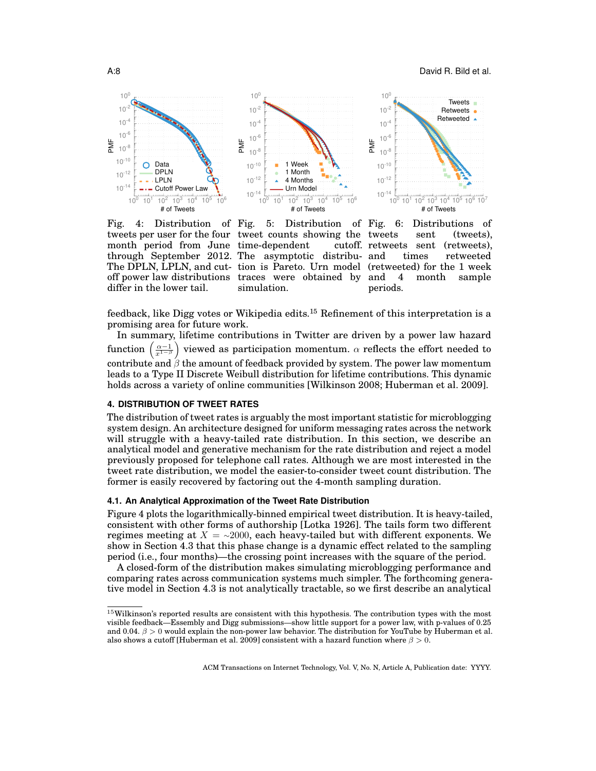<span id="page-7-2"></span>

Fig. 4: Distribution of differ in the lower tail.

tweets per user for the four tweet counts showing the month period from June time-dependent cutoff. through September 2012. The asymptotic distribu-The DPLN, LPLN, and cut-tion is Pareto. Urn model off power law distributions traces were obtained by 5: Distribution of Fig. simulation.

6: Distributions of sent (tweets), cutoff. retweets sent (retweets), times retweeted (retweeted) for the 1 week and 4 month sample periods.

feedback, like Digg votes or Wikipedia edits.<sup>[15](#page-7-1)</sup> Refinement of this interpretation is a promising area for future work.

In summary, lifetime contributions in Twitter are driven by a power law hazard function  $\left(\frac{\alpha-1}{x^{1-\beta}}\right)$  viewed as participation momentum.  $\alpha$  reflects the effort needed to contribute and  $\beta$  the amount of feedback provided by system. The power law momentum leads to a Type II Discrete Weibull distribution for lifetime contributions. This dynamic holds across a variety of online communities [\[Wilkinson 2008;](#page-23-5) [Huberman et al.](#page-22-9) 2009].

### <span id="page-7-0"></span>**4. DISTRIBUTION OF TWEET RATES**

The distribution of tweet rates is arguably the most important statistic for microblogging system design. An architecture designed for uniform messaging rates across the network will struggle with a heavy-tailed rate distribution. In this section, we describe an analytical model and generative mechanism for the rate distribution and reject a model previously proposed for telephone call rates. Although we are most interested in the tweet rate distribution, we model the easier-to-consider tweet count distribution. The former is easily recovered by factoring out the 4-month sampling duration.

#### **4.1. An Analytical Approximation of the Tweet Rate Distribution**

[Figure 4](#page-7-2) plots the logarithmically-binned empirical tweet distribution. It is heavy-tailed, consistent with other forms of authorship [\[Lotka 1926\]](#page-22-14). The tails form two different regimes meeting at  $X = \sim 2000$ , each heavy-tailed but with different exponents. We show in [Section 4.3](#page-9-0) that this phase change is a dynamic effect related to the sampling period (i.e., four months)—the crossing point increases with the square of the period.

A closed-form of the distribution makes simulating microblogging performance and comparing rates across communication systems much simpler. The forthcoming generative model in [Section 4.3](#page-9-0) is not analytically tractable, so we first describe an analytical

<span id="page-7-1"></span> $15$ Wilkinson's reported results are consistent with this hypothesis. The contribution types with the most visible feedback—Essembly and Digg submissions—show little support for a power law, with p-values of 0.25 and 0.04.  $\beta > 0$  would explain the non-power law behavior. The distribution for YouTube by Huberman et al. also shows a cutoff [\[Huberman et al. 2009\]](#page-22-9) consistent with a hazard function where  $\beta > 0$ .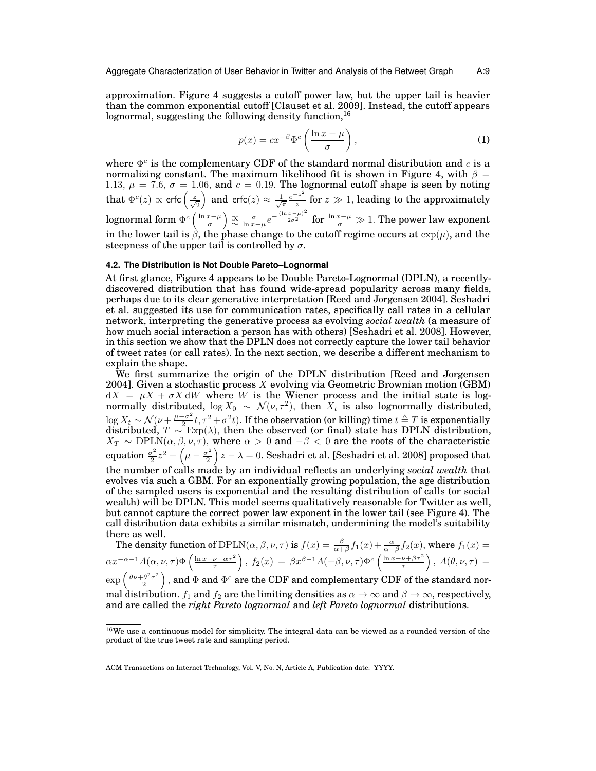approximation. [Figure 4](#page-7-2) suggests a cutoff power law, but the upper tail is heavier than the common exponential cutoff [\[Clauset et al.](#page-21-10) 2009]. Instead, the cutoff appears lognormal, suggesting the following density function,<sup>[16](#page-8-0)</sup>

<span id="page-8-1"></span>
$$
p(x) = cx^{-\beta} \Phi^c \left( \frac{\ln x - \mu}{\sigma} \right),\tag{1}
$$

where  $\Phi^c$  is the complementary CDF of the standard normal distribution and c is a normalizing constant. The maximum likelihood fit is shown in [Figure 4,](#page-7-2) with  $\beta =$ 1.13,  $\mu = 7.6$ ,  $\sigma = 1.06$ , and  $c = 0.19$ . The lognormal cutoff shape is seen by noting that  $\Phi^c(z)\propto$  erfc $\left(\frac{z}{\sqrt{2}}\right)$  and erfc $(z)\approx\frac{1}{\sqrt{\pi}}\frac{e^{-z^2}}{z}$  $\frac{z}{z}$  for  $z \gg 1$ , leading to the approximately lognormal form  $\Phi^c\left(\frac{\ln x-\mu}{\sigma}\right)\stackrel{\propto}{\propto} \frac{\sigma}{\ln x-\mu}e^{-\frac{(\ln x-\mu)^2}{2\sigma^2}}$  for  $\frac{\ln x-\mu}{\sigma}\gg1.$  The power law exponent in the lower tail is  $\hat{\beta}$ , the phase change to the cutoff regime occurs at  $\exp(\mu)$ , and the steepness of the upper tail is controlled by  $\sigma$ .

# **4.2. The Distribution is Not Double Pareto–Lognormal**

At first glance, [Figure 4](#page-7-2) appears to be Double Pareto-Lognormal (DPLN), a recentlydiscovered distribution that has found wide-spread popularity across many fields, perhaps due to its clear generative interpretation [\[Reed and Jorgensen 2004\]](#page-22-15). Seshadri et al. suggested its use for communication rates, specifically call rates in a cellular network, interpreting the generative process as evolving *social wealth* (a measure of how much social interaction a person has with others) [\[Seshadri et al.](#page-22-4) 2008]. However, in this section we show that the DPLN does not correctly capture the lower tail behavior of tweet rates (or call rates). In the next section, we describe a different mechanism to explain the shape.

We first summarize the origin of the DPLN distribution [\[Reed and Jorgensen](#page-22-15) [2004\]](#page-22-15). Given a stochastic process X evolving via Geometric Brownian motion (GBM)  $dX = \mu X + \sigma X dW$  where W is the Wiener process and the initial state is lognormally distributed,  $\log X_0 \sim \mathcal{N}(\nu, \tau^2)$ , then  $X_t$  is also lognormally distributed,  $\log X_t \sim \mathcal{N}(\nu + \frac{\mu - \sigma^2}{2})$  $\frac{\sigma^2}{2\pi}t, \tau^2+\sigma^2t$ ). If the observation (or killing) time  $t\triangleq T$  is exponentially distributed,  $T \sim \text{Exp}(\lambda)$ , then the observed (or final) state has DPLN distribution,  $X_T \sim \text{DPLN}(\alpha, \beta, \nu, \tau)$ , where  $\alpha > 0$  and  $-\beta < 0$  are the roots of the characteristic equation  $\frac{\sigma^2}{2}$  $\frac{\sigma^2}{2}z^2 + \left(\mu - \frac{\sigma^2}{2}\right)$  $\left(\frac{x^2}{2}\right)z-\lambda=0.$  Seshadri et al. [\[Seshadri et al.](#page-22-4) 2008] proposed that the number of calls made by an individual reflects an underlying *social wealth* that evolves via such a GBM. For an exponentially growing population, the age distribution of the sampled users is exponential and the resulting distribution of calls (or social wealth) will be DPLN. This model seems qualitatively reasonable for Twitter as well, but cannot capture the correct power law exponent in the lower tail (see [Figure 4\)](#page-7-2). The call distribution data exhibits a similar mismatch, undermining the model's suitability there as well.

The density function of  $\text{DPLN}(\alpha, \beta, \nu, \tau)$  is  $f(x) = \frac{\beta}{\alpha + \beta} f_1(x) + \frac{\alpha}{\alpha + \beta} f_2(x)$ , where  $f_1(x) =$  $\alpha x^{-\alpha-1}A(\alpha,\nu,\tau)\Phi\left(\frac{\ln x-\nu-\alpha\tau^2}{\tau}\right),\ f_2(x)\ =\ \beta x^{\beta-1}A(-\beta,\nu,\tau)\Phi^c\left(\frac{\ln x-\nu+\beta\tau^2}{\tau}\right),\ A(\theta,\nu,\tau)\ =$  $\exp\left(\frac{\theta\nu+\theta^2\tau^2}{2}\right)$  $\left(\frac{\theta^2\tau^2}{2}\right)$  , and  $\Phi$  and  $\Phi^c$  are the CDF and complementary CDF of the standard normal distribution.  $f_1$  and  $f_2$  are the limiting densities as  $\alpha \to \infty$  and  $\beta \to \infty$ , respectively, and are called the *right Pareto lognormal* and *left Pareto lognormal* distributions.

<span id="page-8-0"></span> $16$ We use a continuous model for simplicity. The integral data can be viewed as a rounded version of the product of the true tweet rate and sampling period.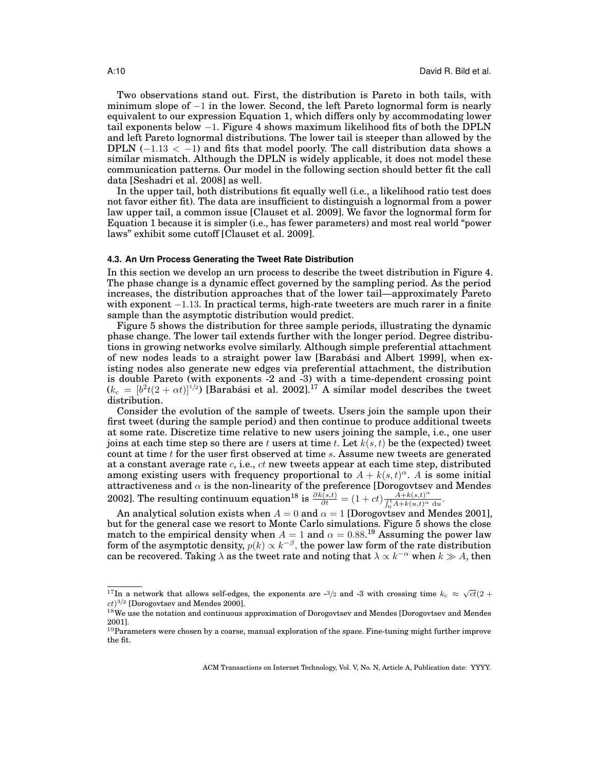Two observations stand out. First, the distribution is Pareto in both tails, with minimum slope of −1 in the lower. Second, the left Pareto lognormal form is nearly equivalent to our expression [Equation 1,](#page-8-1) which differs only by accommodating lower tail exponents below  $-1$ . [Figure 4](#page-7-2) shows maximum likelihood fits of both the DPLN and left Pareto lognormal distributions. The lower tail is steeper than allowed by the DPLN  $(-1.13 < -1)$  and fits that model poorly. The call distribution data shows a similar mismatch. Although the DPLN is widely applicable, it does not model these communication patterns. Our model in the following section should better fit the call data [\[Seshadri et al. 2008\]](#page-22-4) as well.

In the upper tail, both distributions fit equally well (i.e., a likelihood ratio test does not favor either fit). The data are insufficient to distinguish a lognormal from a power law upper tail, a common issue [\[Clauset et al.](#page-21-10) 2009]. We favor the lognormal form for [Equation 1](#page-8-1) because it is simpler (i.e., has fewer parameters) and most real world "power laws" exhibit some cutoff [\[Clauset et al. 2009\]](#page-21-10).

#### <span id="page-9-0"></span>**4.3. An Urn Process Generating the Tweet Rate Distribution**

In this section we develop an urn process to describe the tweet distribution in [Figure 4.](#page-7-2) The phase change is a dynamic effect governed by the sampling period. As the period increases, the distribution approaches that of the lower tail—approximately Pareto with exponent −1.13. In practical terms, high-rate tweeters are much rarer in a finite sample than the asymptotic distribution would predict.

[Figure 5](#page-7-2) shows the distribution for three sample periods, illustrating the dynamic phase change. The lower tail extends further with the longer period. Degree distributions in growing networks evolve similarly. Although simple preferential attachment of new nodes leads to a straight power law [\[Barabási and Albert 1999\]](#page-21-11), when existing nodes also generate new edges via preferential attachment, the distribution is double Pareto (with exponents -2 and -3) with a time-dependent crossing point  $(k_c = [b^2t(2 + \alpha t)]^{1/2})$  [\[Barabási et al.](#page-21-12) 2002].<sup>[17](#page-9-1)</sup> A similar model describes the tweet distribution.

Consider the evolution of the sample of tweets. Users join the sample upon their first tweet (during the sample period) and then continue to produce additional tweets at some rate. Discretize time relative to new users joining the sample, i.e., one user joins at each time step so there are t users at time t. Let  $k(s, t)$  be the (expected) tweet count at time  $t$  for the user first observed at time  $s$ . Assume new tweets are generated at a constant average rate  $c$ , i.e.,  $ct$  new tweets appear at each time step, distributed among existing users with frequency proportional to  $A + k(s,t)^\alpha$ . A is some initial attractiveness and  $\alpha$  is the non-linearity of the preference [\[Dorogovtsev and Mendes](#page-21-13) [2002\]](#page-21-13). The resulting continuum equation<sup>[18](#page-9-2)</sup> is  $\frac{\partial k(s,t)}{\partial t} = (1+ct) \frac{A+k(s,t)^{\alpha}}{\int_{b}^{t} A+k(u,t)^{\alpha}}$  $\frac{A+k(s,t)^{-}}{\int_0^t A+k(u,t)^{\alpha} du}.$ 

An analytical solution exists when  $A = 0$  and  $\alpha = 1$  [\[Dorogovtsev and Mendes 2001\]](#page-21-14), but for the general case we resort to Monte Carlo simulations. [Figure 5](#page-7-2) shows the close match to the empirical density when  $A = 1$  and  $\alpha = 0.88$ .<sup>[19](#page-9-3)</sup> Assuming the power law form of the asymptotic density,  $p(k) \propto k^{-\beta}$ , the power law form of the rate distribution can be recovered. Taking  $\lambda$  as the tweet rate and noting that  $\lambda \propto k^{-\alpha}$  when  $k \gg A,$  then

<span id="page-9-1"></span> $\frac{17}{17}$ In a network that allows self-edges, the exponents are -3/2 and -3 with crossing time  $k_c \approx \sqrt{ct}(2+\frac{1}{27})$  $ct$ <sup>3/2</sup> [\[Dorogovtsev and Mendes 2000\]](#page-21-15).

<span id="page-9-2"></span> $18$ We use the notation and continuous approximation of Dorogovtsev and Mendes [\[Dorogovtsev and Mendes](#page-21-14) [2001\]](#page-21-14).

<span id="page-9-3"></span> $19$ Parameters were chosen by a coarse, manual exploration of the space. Fine-tuning might further improve the fit.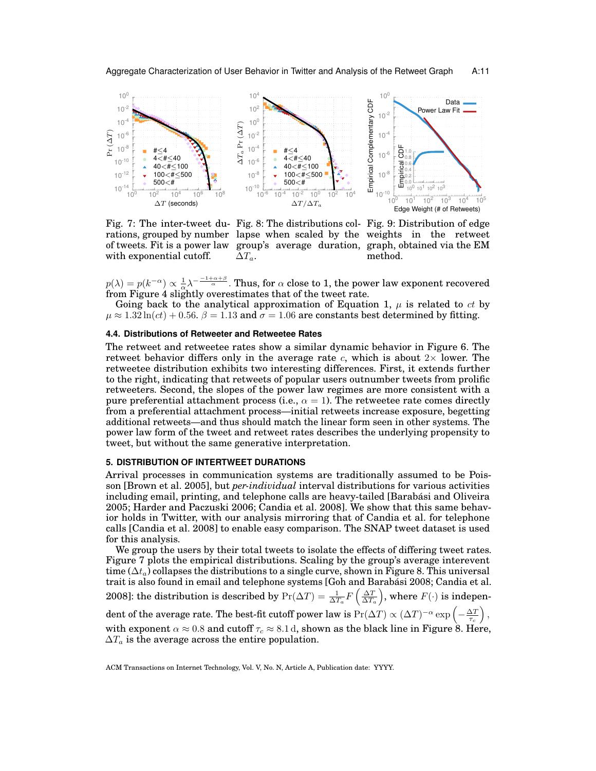<span id="page-10-1"></span>

of tweets. Fit is a power law with exponential cutoff.

Fig. 7: The inter-tweet du-Fig. 8: The distributions col-Fig. 9: Distribution of edge rations, grouped by number lapse when scaled by the weights in the retweet group's average duration, graph, obtained via the EM method.

 $p(\lambda) = p(k^{-\alpha}) \propto \frac{1}{\alpha} \lambda^{-\frac{-1+\alpha+\beta}{\alpha}}$ . Thus, for  $\alpha$  close to 1, the power law exponent recovered from [Figure 4](#page-7-2) slightly overestimates that of the tweet rate.

Going back to the analytical approximation of [Equation 1,](#page-8-1)  $\mu$  is related to *ct* by  $\mu \approx 1.32 \ln(ct) + 0.56$ .  $\beta = 1.13$  and  $\sigma = 1.06$  are constants best determined by fitting.

# **4.4. Distributions of Retweeter and Retweetee Rates**

 $\Delta T_a$ .

The retweet and retweetee rates show a similar dynamic behavior in [Figure 6.](#page-7-2) The retweet behavior differs only in the average rate  $c$ , which is about  $2\times$  lower. The retweetee distribution exhibits two interesting differences. First, it extends further to the right, indicating that retweets of popular users outnumber tweets from prolific retweeters. Second, the slopes of the power law regimes are more consistent with a pure preferential attachment process (i.e.,  $\alpha = 1$ ). The retweetee rate comes directly from a preferential attachment process—initial retweets increase exposure, begetting additional retweets—and thus should match the linear form seen in other systems. The power law form of the tweet and retweet rates describes the underlying propensity to tweet, but without the same generative interpretation.

# <span id="page-10-0"></span>**5. DISTRIBUTION OF INTERTWEET DURATIONS**

Arrival processes in communication systems are traditionally assumed to be Poisson [\[Brown et al.](#page-21-16) 2005], but *per-individual* interval distributions for various activities including email, printing, and telephone calls are heavy-tailed [\[Barabási and Oliveira](#page-21-17) [2005;](#page-21-17) [Harder and Paczuski 2006;](#page-22-16) [Candia et al.](#page-21-6) 2008]. We show that this same behavior holds in Twitter, with our analysis mirroring that of Candia et al. for telephone calls [\[Candia et al.](#page-21-6) 2008] to enable easy comparison. The SNAP tweet dataset is used for this analysis.

We group the users by their total tweets to isolate the effects of differing tweet rates. [Figure 7](#page-10-1) plots the empirical distributions. Scaling by the group's average interevent time ( $\Delta t_a$ ) collapses the distributions to a single curve, shown in [Figure 8.](#page-10-1) This universal trait is also found in email and telephone systems [\[Goh and Barabási 2008;](#page-22-17) [Candia et al.](#page-21-6) [2008\]](#page-21-6): the distribution is described by  $\Pr(\Delta T) = \frac{1}{\Delta T_a} F\left(\frac{\Delta T}{\Delta T_a}\right)$ , where  $F(\cdot)$  is independent of the average rate. The best-fit cutoff power law is  $\Pr(\Delta T) \propto (\Delta T)^{-\alpha} \exp\left(-\frac{\Delta T}{\tau_c}\right),$ with exponent  $\alpha \approx 0.8$  and cutoff  $\tau_c \approx 8.1$  d, shown as the black line in [Figure 8.](#page-10-1) Here,  $\Delta T_a$  is the average across the entire population.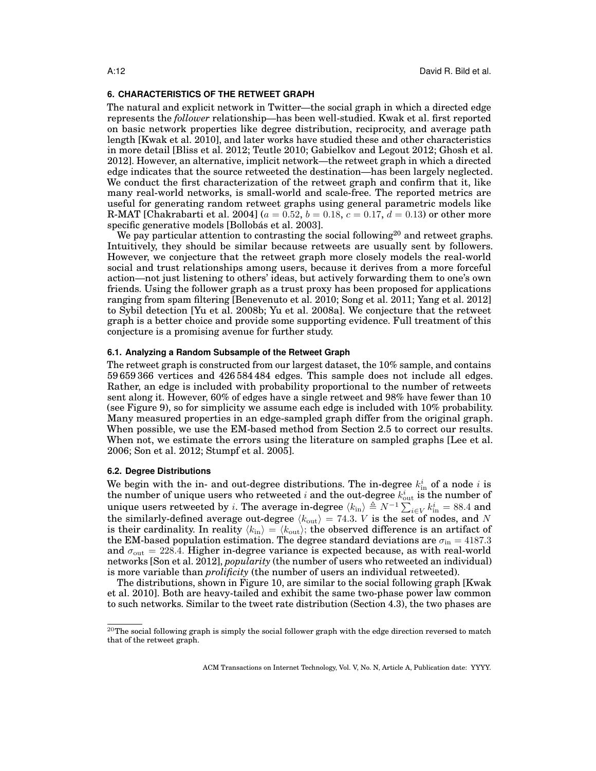#### <span id="page-11-0"></span>**6. CHARACTERISTICS OF THE RETWEET GRAPH**

The natural and explicit network in Twitter—the social graph in which a directed edge represents the *follower* relationship—has been well-studied. Kwak et al. first reported on basic network properties like degree distribution, reciprocity, and average path length [\[Kwak et al.](#page-22-0) 2010], and later works have studied these and other characteristics in more detail [\[Bliss et al.](#page-21-0) 2012; [Teutle 2010;](#page-23-0) [Gabielkov and Legout 2012;](#page-21-1) [Ghosh et al.](#page-21-2) [2012\]](#page-21-2). However, an alternative, implicit network—the retweet graph in which a directed edge indicates that the source retweeted the destination—has been largely neglected. We conduct the first characterization of the retweet graph and confirm that it, like many real-world networks, is small-world and scale-free. The reported metrics are useful for generating random retweet graphs using general parametric models like R-MAT [\[Chakrabarti et al.](#page-21-18) 2004] ( $a = 0.52$ ,  $b = 0.18$ ,  $c = 0.17$ ,  $d = 0.13$ ) or other more specific generative models [\[Bollobás et al. 2003\]](#page-21-19).

We pay particular attention to contrasting the social following<sup>[20](#page-11-1)</sup> and retweet graphs. Intuitively, they should be similar because retweets are usually sent by followers. However, we conjecture that the retweet graph more closely models the real-world social and trust relationships among users, because it derives from a more forceful action—not just listening to others' ideas, but actively forwarding them to one's own friends. Using the follower graph as a trust proxy has been proposed for applications ranging from spam filtering [\[Benevenuto et al.](#page-21-20) 2010; [Song et al.](#page-23-9) 2011; [Yang et al.](#page-23-10) 2012] to Sybil detection [\[Yu et al.](#page-23-11) 2008b; [Yu et al.](#page-23-12) 2008a]. We conjecture that the retweet graph is a better choice and provide some supporting evidence. Full treatment of this conjecture is a promising avenue for further study.

### **6.1. Analyzing a Random Subsample of the Retweet Graph**

The retweet graph is constructed from our largest dataset, the 10% sample, and contains 59 659 366 vertices and 426 584 484 edges. This sample does not include all edges. Rather, an edge is included with probability proportional to the number of retweets sent along it. However, 60% of edges have a single retweet and 98% have fewer than 10 (see [Figure 9\)](#page-10-1), so for simplicity we assume each edge is included with 10% probability. Many measured properties in an edge-sampled graph differ from the original graph. When possible, we use the EM-based method from [Section 2.5](#page-3-4) to correct our results. When not, we estimate the errors using the literature on sampled graphs [\[Lee et al.](#page-22-6) [2006;](#page-22-6) [Son et al. 2012;](#page-22-7) [Stumpf et al. 2005\]](#page-23-13).

#### **6.2. Degree Distributions**

We begin with the in- and out-degree distributions. The in-degree  $k_{\text{in}}^{i}$  of a node i is the number of unique users who retweeted  $i$  and the out-degree  $k_{\mathrm{out}}^i$  is the number of unique users retweeted by  $i.$  The average in-degree  $\langle k_{\rm in}\rangle\triangleq N^{-1}\sum_{i\in V}k_{\rm in}^i=88.4$  and the similarly-defined average out-degree  $\langle k_{\text{out}} \rangle = 74.3$ . V is the set of nodes, and N is their cardinality. In reality  $\langle k_{\rm in} \rangle = \langle k_{\rm out} \rangle$ ; the observed difference is an artifact of the EM-based population estimation. The degree standard deviations are  $\sigma_{\rm in} = 4187.3$ and  $\sigma_{\text{out}} = 228.4$ . Higher in-degree variance is expected because, as with real-world networks [\[Son et al.](#page-22-7) 2012], *popularity* (the number of users who retweeted an individual) is more variable than *prolificity* (the number of users an individual retweeted).

The distributions, shown in [Figure 10,](#page-12-1) are similar to the social following graph [\[Kwak](#page-22-0) [et al.](#page-22-0) 2010]. Both are heavy-tailed and exhibit the same two-phase power law common to such networks. Similar to the tweet rate distribution [\(Section 4.3\)](#page-9-0), the two phases are

<span id="page-11-1"></span> $^{20}$ The social following graph is simply the social follower graph with the edge direction reversed to match that of the retweet graph.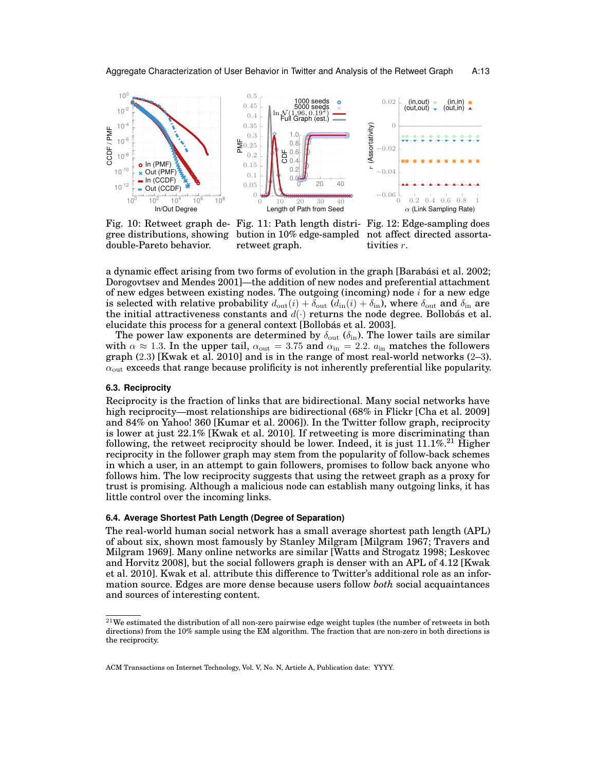<span id="page-12-1"></span>

gree distributions, showing double-Pareto behavior.

Fig. 10: Retweet graph de-Fig. 11: Path length distri-Fig. 12: Edge-sampling does bution in 10% edge-sampled not affect directed assortaretweet graph.



a dynamic effect arising from two forms of evolution in the graph [\[Barabási et al.](#page-21-12) 2002; [Dorogovtsev and Mendes 2001\]](#page-21-14)—the addition of new nodes and preferential attachment of new edges between existing nodes. The outgoing (incoming) node  $i$  for a new edge is selected with relative probability  $d_{\text{out}}(i) + \delta_{\text{out}}(d_{\text{in}}(i) + \delta_{\text{in}})$ , where  $\delta_{\text{out}}$  and  $\delta_{\text{in}}$  are the initial attractiveness constants and  $d(\cdot)$  returns the node degree. Bollobás et al. elucidate this process for a general context [\[Bollobás et al. 2003\]](#page-21-19).

The power law exponents are determined by  $\delta_{\text{out}}$  ( $\delta_{\text{in}}$ ). The lower tails are similar with  $\alpha \approx 1.3$ . In the upper tail,  $\alpha_{\text{out}} = 3.75$  and  $\alpha_{\text{in}} = 2.2$ .  $a_{\text{in}}$  matches the followers graph (2.3) [\[Kwak et al.](#page-22-0) 2010] and is in the range of most real-world networks (2–3).  $\alpha_{\text{out}}$  exceeds that range because prolificity is not inherently preferential like popularity.

#### <span id="page-12-0"></span>**6.3. Reciprocity**

Reciprocity is the fraction of links that are bidirectional. Many social networks have high reciprocity—most relationships are bidirectional (68% in Flickr [\[Cha et al.](#page-21-21) 2009] and 84% on Yahoo! 360 [\[Kumar et al.](#page-22-18) 2006]). In the Twitter follow graph, reciprocity is lower at just 22.1% [\[Kwak et al.](#page-22-0) 2010]. If retweeting is more discriminating than following, the retweet reciprocity should be lower. Indeed, it is just  $11.1\%$ <sup>[21](#page-12-2)</sup> Higher reciprocity in the follower graph may stem from the popularity of follow-back schemes in which a user, in an attempt to gain followers, promises to follow back anyone who follows him. The low reciprocity suggests that using the retweet graph as a proxy for trust is promising. Although a malicious node can establish many outgoing links, it has little control over the incoming links.

#### **6.4. Average Shortest Path Length (Degree of Separation)**

The real-world human social network has a small average shortest path length (APL) of about six, shown most famously by Stanley Milgram [\[Milgram 1967;](#page-22-19) [Travers and](#page-23-14) [Milgram 1969\]](#page-23-14). Many online networks are similar [\[Watts and Strogatz 1998;](#page-23-15) [Leskovec](#page-22-20) [and Horvitz 2008\]](#page-22-20), but the social followers graph is denser with an APL of 4.12 [\[Kwak](#page-22-0) [et al.](#page-22-0) 2010]. Kwak et al. attribute this difference to Twitter's additional role as an information source. Edges are more dense because users follow *both* social acquaintances and sources of interesting content.

<span id="page-12-2"></span> $^{21}$ We estimated the distribution of all non-zero pairwise edge weight tuples (the number of retweets in both directions) from the 10% sample using the EM algorithm. The fraction that are non-zero in both directions is the reciprocity.

ACM Transactions on Internet Technology, Vol. V, No. N, Article A, Publication date: YYYY.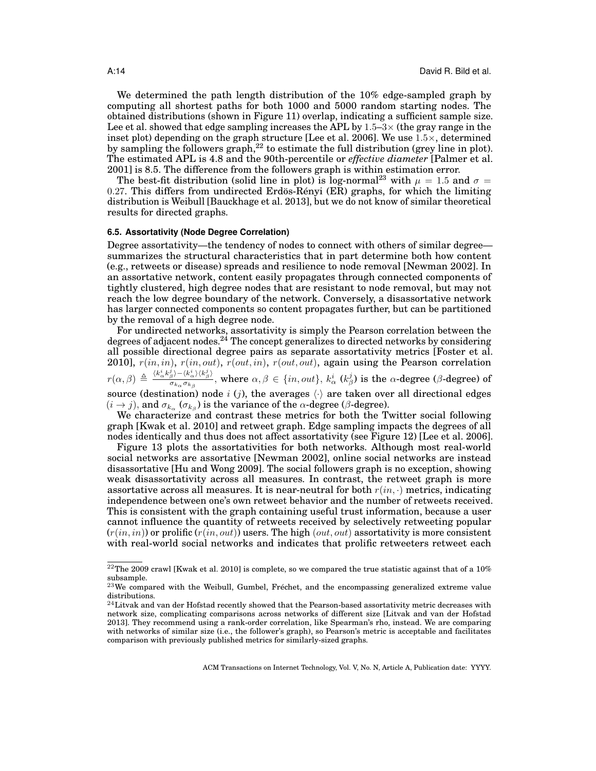We determined the path length distribution of the 10% edge-sampled graph by computing all shortest paths for both 1000 and 5000 random starting nodes. The obtained distributions (shown in [Figure 11\)](#page-12-1) overlap, indicating a sufficient sample size. Lee et al. showed that edge sampling increases the APL by  $1.5-3\times$  (the gray range in the inset plot) depending on the graph structure [\[Lee et al.](#page-22-6) 2006]. We use  $1.5\times$ , determined by sampling the followers graph,<sup>[22](#page-13-0)</sup> to estimate the full distribution (grey line in plot). The estimated APL is 4.8 and the 90th-percentile or *effective diameter* [\[Palmer et al.](#page-22-21) [2001\]](#page-22-21) is 8.5. The difference from the followers graph is within estimation error.

The best-fit distribution (solid line in plot) is log-normal<sup>[23](#page-13-1)</sup> with  $\mu = 1.5$  and  $\sigma =$ 0.27. This differs from undirected Erdös-Rényi (ER) graphs, for which the limiting distribution is Weibull [\[Bauckhage et al.](#page-21-22) 2013], but we do not know of similar theoretical results for directed graphs.

#### **6.5. Assortativity (Node Degree Correlation)**

Degree assortativity—the tendency of nodes to connect with others of similar degree summarizes the structural characteristics that in part determine both how content (e.g., retweets or disease) spreads and resilience to node removal [\[Newman 2002\]](#page-22-22). In an assortative network, content easily propagates through connected components of tightly clustered, high degree nodes that are resistant to node removal, but may not reach the low degree boundary of the network. Conversely, a disassortative network has larger connected components so content propagates further, but can be partitioned by the removal of a high degree node.

For undirected networks, assortativity is simply the Pearson correlation between the degrees of adjacent nodes.<sup>[24](#page-13-2)</sup> The concept generalizes to directed networks by considering all possible directional degree pairs as separate assortativity metrics [\[Foster et al.](#page-21-23) [2010\]](#page-21-23),  $r(in, in), r(in, out), r(out, in), r(out, out), again using the Pearson correlation$  $r(\alpha, \beta) \triangleq \frac{\langle k_\alpha^i k_\beta^j \rangle - \langle k_\alpha^i \rangle \langle k_\beta^j \rangle}{\sigma \cdot \sigma}$  $\frac{\gamma_\beta^2-\langle k_\alpha^\ast\rangle\langle k_\beta^\ast\rangle}{\sigma_{k_\alpha}\sigma_{k_\beta}},$  where  $\alpha,\beta\in\{in,out\},$   $k_\alpha^i$   $(k_\beta^j)$  is the  $\alpha$ -degree ( $\beta$ -degree) of source (destination) node i (j), the averages  $\langle \cdot \rangle$  are taken over all directional edges  $(i \rightarrow j)$ , and  $\sigma_{k_{\alpha}}$  ( $\sigma_{k_{\beta}}$ ) is the variance of the  $\alpha$ -degree ( $\beta$ -degree).

We characterize and contrast these metrics for both the Twitter social following graph [\[Kwak et al.](#page-22-0) 2010] and retweet graph. Edge sampling impacts the degrees of all nodes identically and thus does not affect assortativity (see [Figure 12\)](#page-12-1) [\[Lee et al.](#page-22-6) 2006].

[Figure 13](#page-14-0) plots the assortativities for both networks. Although most real-world social networks are assortative [\[Newman 2002\]](#page-22-22), online social networks are instead disassortative [\[Hu and Wong 2009\]](#page-22-23). The social followers graph is no exception, showing weak disassortativity across all measures. In contrast, the retweet graph is more assortative across all measures. It is near-neutral for both  $r(in, \cdot)$  metrics, indicating independence between one's own retweet behavior and the number of retweets received. This is consistent with the graph containing useful trust information, because a user cannot influence the quantity of retweets received by selectively retweeting popular  $(r(in, in))$  or prolific  $(r(in, out))$  users. The high (*out*, *out*) assortativity is more consistent with real-world social networks and indicates that prolific retweeters retweet each

<span id="page-13-0"></span> $^{22}$ The 2009 crawl [\[Kwak et al.](#page-22-0) 2010] is complete, so we compared the true statistic against that of a 10% subsample.

<span id="page-13-1"></span> $23$ We compared with the Weibull, Gumbel, Fréchet, and the encompassing generalized extreme value distributions.

<span id="page-13-2"></span> $^{24}\rm{Litvak}$  and van der Hofstad recently showed that the Pearson-based assortativity metric decreases with network size, complicating comparisons across networks of different size [\[Litvak and van der Hofstad](#page-22-24) [2013\]](#page-22-24). They recommend using a rank-order correlation, like Spearman's rho, instead. We are comparing with networks of similar size (i.e., the follower's graph), so Pearson's metric is acceptable and facilitates comparison with previously published metrics for similarly-sized graphs.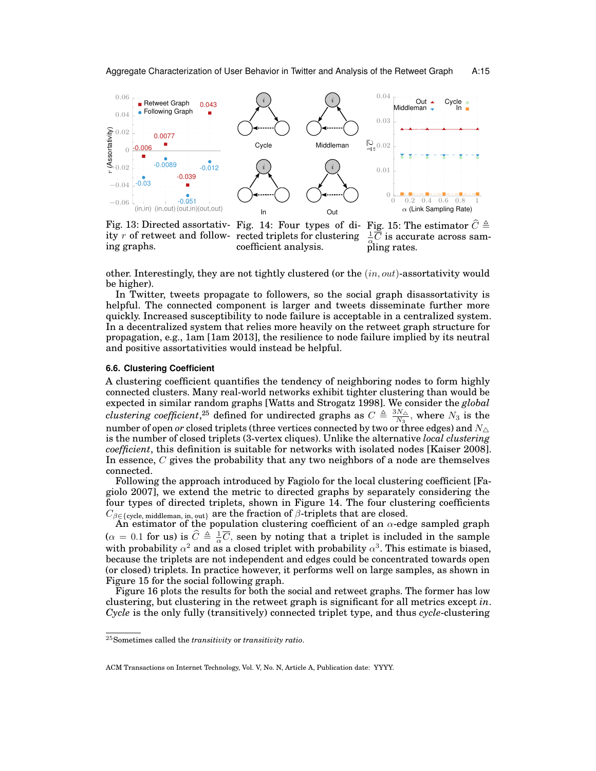<span id="page-14-0"></span>

ity r of retweet and following graphs.

Fig. 13: Directed assortativ- Fig. 14: Four types of di-Fig. 15: The estimator  $\hat{C} \triangleq$ rected triplets for clustering coefficient analysis.

 $\frac{1}{\alpha} \overline{\widetilde{C}}$  is accurate across sampling rates.

other. Interestingly, they are not tightly clustered (or the  $(in, out)$ -assortativity would be higher).

In Twitter, tweets propagate to followers, so the social graph disassortativity is helpful. The connected component is larger and tweets disseminate further more quickly. Increased susceptibility to node failure is acceptable in a centralized system. In a decentralized system that relies more heavily on the retweet graph structure for propagation, e.g., 1am [\[1am 2013\]](#page-21-4), the resilience to node failure implied by its neutral and positive assortativities would instead be helpful.

# **6.6. Clustering Coefficient**

A clustering coefficient quantifies the tendency of neighboring nodes to form highly connected clusters. Many real-world networks exhibit tighter clustering than would be expected in similar random graphs [\[Watts and Strogatz 1998\]](#page-23-15). We consider the *global clustering coefficient*,<sup>[25](#page-14-1)</sup> defined for undirected graphs as  $C \triangleq \frac{3N_{\Delta}}{N_{\Delta}}$  $\frac{N\Delta}{N_3}$ , where  $N_3$  is the number of open *or* closed triplets (three vertices connected by two or three edges) and  $N_{\Delta}$ is the number of closed triplets (3-vertex cliques). Unlike the alternative *local clustering coefficient*, this definition is suitable for networks with isolated nodes [\[Kaiser 2008\]](#page-22-25). In essence, C gives the probability that any two neighbors of a node are themselves connected.

Following the approach introduced by Fagiolo for the local clustering coefficient [\[Fa](#page-21-24)[giolo 2007\]](#page-21-24), we extend the metric to directed graphs by separately considering the four types of directed triplets, shown in [Figure 14.](#page-14-0) The four clustering coefficients  $C_{\beta \in \{\text{cycle, middleman, in, out}\}}$  are the fraction of  $\beta$ -triplets that are closed.

An estimator of the population clustering coefficient of an  $\alpha$ -edge sampled graph  $(\alpha = 0.1 \text{ for us})$  is  $\hat{C} \triangleq \frac{1}{\alpha} \overline{C}$ , seen by noting that a triplet is included in the sample with probability  $\alpha^2$  and as a closed triplet with probability  $\alpha^3$ . This estimate is biased, because the triplets are not independent and edges could be concentrated towards open (or closed) triplets. In practice however, it performs well on large samples, as shown in [Figure 15](#page-14-0) for the social following graph.

[Figure 16](#page-15-1) plots the results for both the social and retweet graphs. The former has low clustering, but clustering in the retweet graph is significant for all metrics except *in*. *Cycle* is the only fully (transitively) connected triplet type, and thus *cycle*-clustering

<span id="page-14-1"></span><sup>25</sup>Sometimes called the *transitivity* or *transitivity ratio*.

ACM Transactions on Internet Technology, Vol. V, No. N, Article A, Publication date: YYYY.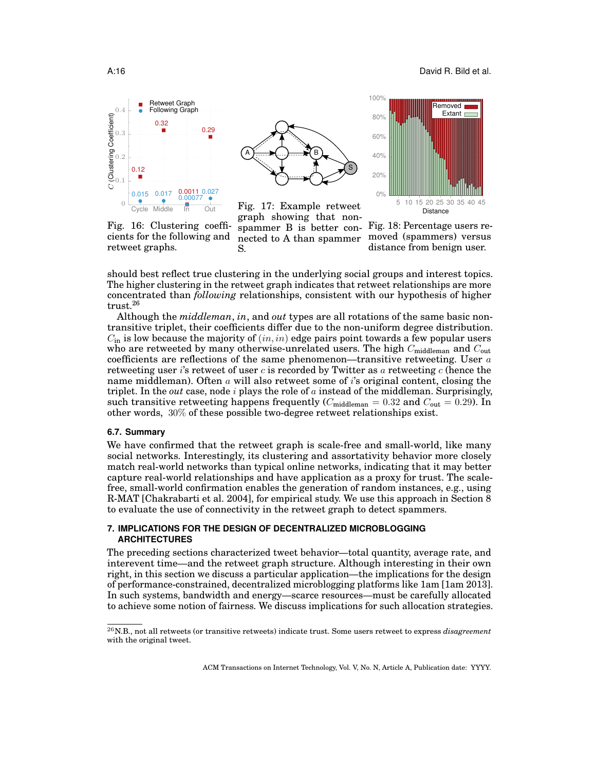<span id="page-15-1"></span>

Fig. 16: Clustering coefficients for the following and

retweet graphs.



Fig. 17: Example retweet graph showing that nonspammer B is better con-Fig. 18: Percentage users renected to A than spammer S.



moved (spammers) versus distance from benign user.

should best reflect true clustering in the underlying social groups and interest topics. The higher clustering in the retweet graph indicates that retweet relationships are more concentrated than *following* relationships, consistent with our hypothesis of higher trust.[26](#page-15-2)

Although the *middleman*, *in*, and *out* types are all rotations of the same basic nontransitive triplet, their coefficients differ due to the non-uniform degree distribution.  $C_{\text{in}}$  is low because the majority of  $(in, in)$  edge pairs point towards a few popular users who are retweeted by many otherwise-unrelated users. The high  $C_{\text{middleman}}$  and  $C_{\text{out}}$ coefficients are reflections of the same phenomenon—transitive retweeting. User  $a$ retweeting user is retweet of user c is recorded by Twitter as a retweeting  $c$  (hence the name middleman). Often  $\alpha$  will also retweet some of  $i$ 's original content, closing the triplet. In the *out* case, node  $i$  plays the role of  $a$  instead of the middleman. Surprisingly, such transitive retweeting happens frequently  $(C_{\text{middleman}} = 0.32 \text{ and } C_{\text{out}} = 0.29)$ . In other words, 30% of these possible two-degree retweet relationships exist.

# **6.7. Summary**

We have confirmed that the retweet graph is scale-free and small-world, like many social networks. Interestingly, its clustering and assortativity behavior more closely match real-world networks than typical online networks, indicating that it may better capture real-world relationships and have application as a proxy for trust. The scalefree, small-world confirmation enables the generation of random instances, e.g., using R-MAT [\[Chakrabarti et al.](#page-21-18) 2004], for empirical study. We use this approach in [Section 8](#page-16-0) to evaluate the use of connectivity in the retweet graph to detect spammers.

# <span id="page-15-0"></span>**7. IMPLICATIONS FOR THE DESIGN OF DECENTRALIZED MICROBLOGGING ARCHITECTURES**

The preceding sections characterized tweet behavior—total quantity, average rate, and interevent time—and the retweet graph structure. Although interesting in their own right, in this section we discuss a particular application—the implications for the design of performance-constrained, decentralized microblogging platforms like 1am [\[1am 2013\]](#page-21-4). In such systems, bandwidth and energy—scarce resources—must be carefully allocated to achieve some notion of fairness. We discuss implications for such allocation strategies.

<span id="page-15-2"></span><sup>26</sup>N.B., not all retweets (or transitive retweets) indicate trust. Some users retweet to express *disagreement* with the original tweet.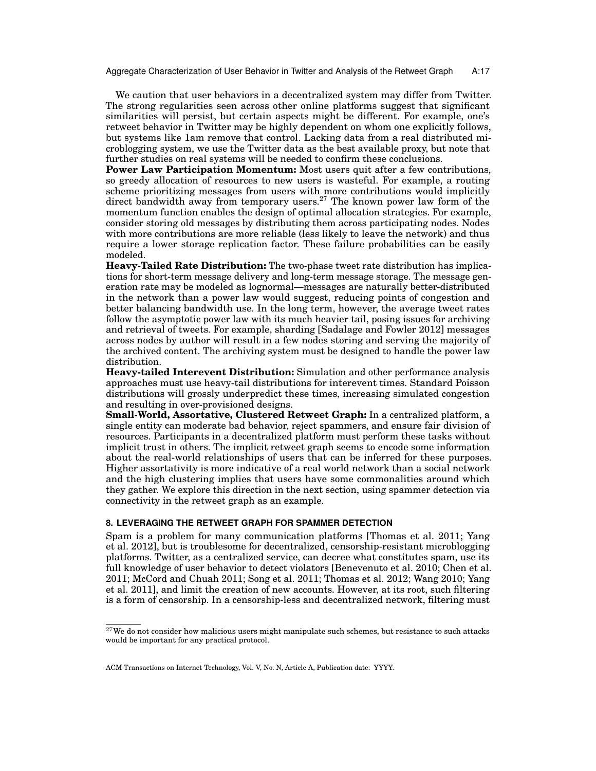Aggregate Characterization of User Behavior in Twitter and Analysis of the Retweet Graph A:17

We caution that user behaviors in a decentralized system may differ from Twitter. The strong regularities seen across other online platforms suggest that significant similarities will persist, but certain aspects might be different. For example, one's retweet behavior in Twitter may be highly dependent on whom one explicitly follows, but systems like 1am remove that control. Lacking data from a real distributed microblogging system, we use the Twitter data as the best available proxy, but note that further studies on real systems will be needed to confirm these conclusions.

**Power Law Participation Momentum:** Most users quit after a few contributions, so greedy allocation of resources to new users is wasteful. For example, a routing scheme prioritizing messages from users with more contributions would implicitly direct bandwidth away from temporary users.<sup>[27](#page-16-1)</sup> The known power law form of the momentum function enables the design of optimal allocation strategies. For example, consider storing old messages by distributing them across participating nodes. Nodes with more contributions are more reliable (less likely to leave the network) and thus require a lower storage replication factor. These failure probabilities can be easily modeled.

**Heavy-Tailed Rate Distribution:** The two-phase tweet rate distribution has implications for short-term message delivery and long-term message storage. The message generation rate may be modeled as lognormal—messages are naturally better-distributed in the network than a power law would suggest, reducing points of congestion and better balancing bandwidth use. In the long term, however, the average tweet rates follow the asymptotic power law with its much heavier tail, posing issues for archiving and retrieval of tweets. For example, sharding [\[Sadalage and Fowler 2012\]](#page-22-26) messages across nodes by author will result in a few nodes storing and serving the majority of the archived content. The archiving system must be designed to handle the power law distribution.

**Heavy-tailed Interevent Distribution:** Simulation and other performance analysis approaches must use heavy-tail distributions for interevent times. Standard Poisson distributions will grossly underpredict these times, increasing simulated congestion and resulting in over-provisioned designs.

**Small-World, Assortative, Clustered Retweet Graph:** In a centralized platform, a single entity can moderate bad behavior, reject spammers, and ensure fair division of resources. Participants in a decentralized platform must perform these tasks without implicit trust in others. The implicit retweet graph seems to encode some information about the real-world relationships of users that can be inferred for these purposes. Higher assortativity is more indicative of a real world network than a social network and the high clustering implies that users have some commonalities around which they gather. We explore this direction in the next section, using spammer detection via connectivity in the retweet graph as an example.

# <span id="page-16-0"></span>**8. LEVERAGING THE RETWEET GRAPH FOR SPAMMER DETECTION**

Spam is a problem for many communication platforms [\[Thomas et al.](#page-23-16) 2011; [Yang](#page-23-10) [et al.](#page-23-10) 2012], but is troublesome for decentralized, censorship-resistant microblogging platforms. Twitter, as a centralized service, can decree what constitutes spam, use its full knowledge of user behavior to detect violators [\[Benevenuto et al.](#page-21-20) 2010; [Chen et al.](#page-21-25) [2011;](#page-21-25) [McCord and Chuah 2011;](#page-22-27) [Song et al.](#page-23-9) 2011; [Thomas et al.](#page-23-17) 2012; [Wang 2010;](#page-23-18) [Yang](#page-23-19) [et al. 2011\]](#page-23-19), and limit the creation of new accounts. However, at its root, such filtering is a form of censorship. In a censorship-less and decentralized network, filtering must

<span id="page-16-1"></span> $27$ We do not consider how malicious users might manipulate such schemes, but resistance to such attacks would be important for any practical protocol.

ACM Transactions on Internet Technology, Vol. V, No. N, Article A, Publication date: YYYY.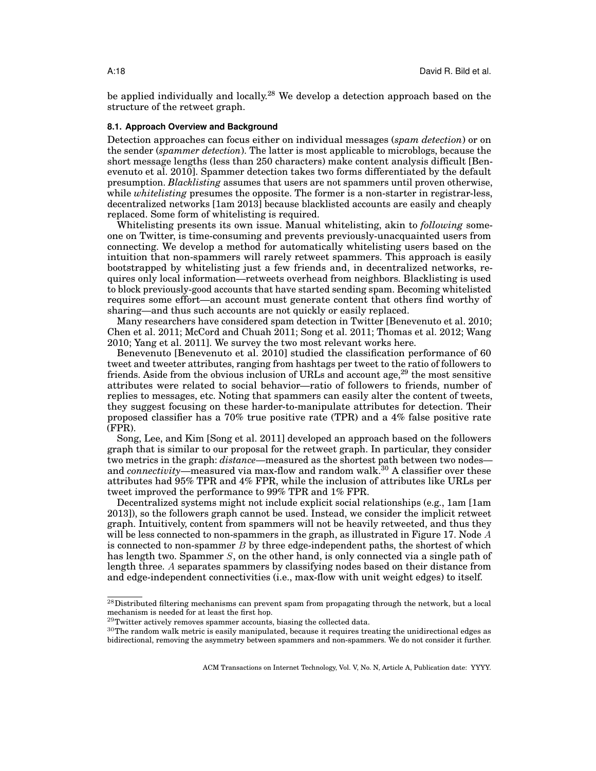be applied individually and locally.<sup>[28](#page-17-0)</sup> We develop a detection approach based on the structure of the retweet graph.

## **8.1. Approach Overview and Background**

Detection approaches can focus either on individual messages (*spam detection*) or on the sender (*spammer detection*). The latter is most applicable to microblogs, because the short message lengths (less than 250 characters) make content analysis difficult [\[Ben](#page-21-20)[evenuto et al.](#page-21-20) 2010]. Spammer detection takes two forms differentiated by the default presumption. *Blacklisting* assumes that users are not spammers until proven otherwise, while *whitelisting* presumes the opposite. The former is a non-starter in registrar-less, decentralized networks [\[1am 2013\]](#page-21-4) because blacklisted accounts are easily and cheaply replaced. Some form of whitelisting is required.

Whitelisting presents its own issue. Manual whitelisting, akin to *following* someone on Twitter, is time-consuming and prevents previously-unacquainted users from connecting. We develop a method for automatically whitelisting users based on the intuition that non-spammers will rarely retweet spammers. This approach is easily bootstrapped by whitelisting just a few friends and, in decentralized networks, requires only local information—retweets overhead from neighbors. Blacklisting is used to block previously-good accounts that have started sending spam. Becoming whitelisted requires some effort—an account must generate content that others find worthy of sharing—and thus such accounts are not quickly or easily replaced.

Many researchers have considered spam detection in Twitter [\[Benevenuto et al.](#page-21-20) 2010; [Chen et al.](#page-21-25) 2011; [McCord and Chuah 2011;](#page-22-27) [Song et al.](#page-23-9) 2011; [Thomas et al.](#page-23-17) 2012; [Wang](#page-23-18) [2010;](#page-23-18) [Yang et al. 2011\]](#page-23-19). We survey the two most relevant works here.

Benevenuto [\[Benevenuto et al.](#page-21-20) 2010] studied the classification performance of 60 tweet and tweeter attributes, ranging from hashtags per tweet to the ratio of followers to friends. Aside from the obvious inclusion of URLs and account age,<sup>[29](#page-17-1)</sup> the most sensitive attributes were related to social behavior—ratio of followers to friends, number of replies to messages, etc. Noting that spammers can easily alter the content of tweets, they suggest focusing on these harder-to-manipulate attributes for detection. Their proposed classifier has a 70% true positive rate (TPR) and a 4% false positive rate (FPR).

Song, Lee, and Kim [\[Song et al.](#page-23-9) 2011] developed an approach based on the followers graph that is similar to our proposal for the retweet graph. In particular, they consider two metrics in the graph: *distance*—measured as the shortest path between two nodes and *connectivity*—measured via max-flow and random walk.<sup>[30](#page-17-2)</sup> A classifier over these attributes had 95% TPR and 4% FPR, while the inclusion of attributes like URLs per tweet improved the performance to 99% TPR and 1% FPR.

Decentralized systems might not include explicit social relationships (e.g., 1am [\[1am](#page-21-4) [2013\]](#page-21-4)), so the followers graph cannot be used. Instead, we consider the implicit retweet graph. Intuitively, content from spammers will not be heavily retweeted, and thus they will be less connected to non-spammers in the graph, as illustrated in [Figure 17.](#page-15-1) Node  $A$ is connected to non-spammer  $\overline{B}$  by three edge-independent paths, the shortest of which has length two. Spammer  $S$ , on the other hand, is only connected via a single path of length three. A separates spammers by classifying nodes based on their distance from and edge-independent connectivities (i.e., max-flow with unit weight edges) to itself.

<span id="page-17-0"></span> $^{28}$ Distributed filtering mechanisms can prevent spam from propagating through the network, but a local mechanism is needed for at least the first hop.

<span id="page-17-1"></span> $29$ Twitter actively removes spammer accounts, biasing the collected data.

<span id="page-17-2"></span> $30$ The random walk metric is easily manipulated, because it requires treating the unidirectional edges as bidirectional, removing the asymmetry between spammers and non-spammers. We do not consider it further.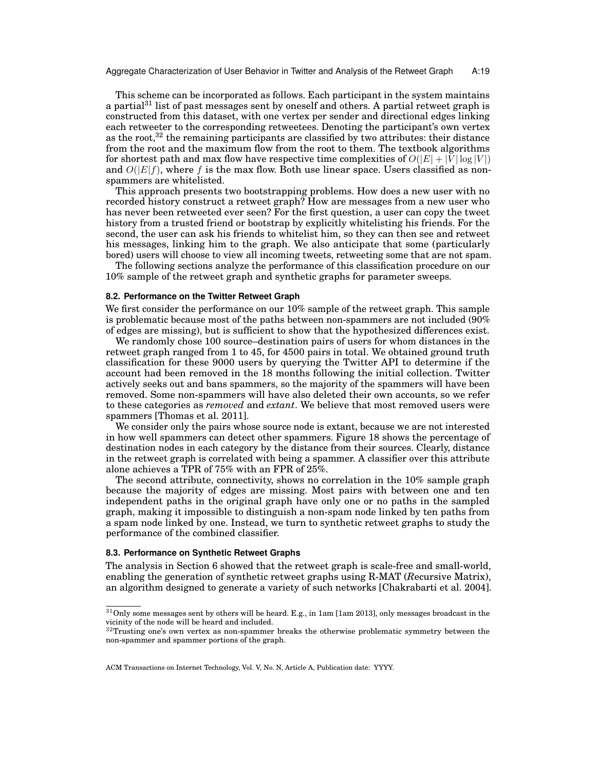Aggregate Characterization of User Behavior in Twitter and Analysis of the Retweet Graph A:19

This scheme can be incorporated as follows. Each participant in the system maintains a partial<sup>[31](#page-18-0)</sup> list of past messages sent by oneself and others. A partial retweet graph is constructed from this dataset, with one vertex per sender and directional edges linking each retweeter to the corresponding retweetees. Denoting the participant's own vertex as the root, $32$  the remaining participants are classified by two attributes: their distance from the root and the maximum flow from the root to them. The textbook algorithms for shortest path and max flow have respective time complexities of  $O(|E| + |V| \log |V|)$ and  $O(|E|f)$ , where f is the max flow. Both use linear space. Users classified as nonspammers are whitelisted.

This approach presents two bootstrapping problems. How does a new user with no recorded history construct a retweet graph? How are messages from a new user who has never been retweeted ever seen? For the first question, a user can copy the tweet history from a trusted friend or bootstrap by explicitly whitelisting his friends. For the second, the user can ask his friends to whitelist him, so they can then see and retweet his messages, linking him to the graph. We also anticipate that some (particularly bored) users will choose to view all incoming tweets, retweeting some that are not spam.

The following sections analyze the performance of this classification procedure on our 10% sample of the retweet graph and synthetic graphs for parameter sweeps.

### **8.2. Performance on the Twitter Retweet Graph**

We first consider the performance on our  $10\%$  sample of the retweet graph. This sample is problematic because most of the paths between non-spammers are not included (90% of edges are missing), but is sufficient to show that the hypothesized differences exist.

We randomly chose 100 source–destination pairs of users for whom distances in the retweet graph ranged from 1 to 45, for 4500 pairs in total. We obtained ground truth classification for these 9000 users by querying the Twitter API to determine if the account had been removed in the 18 months following the initial collection. Twitter actively seeks out and bans spammers, so the majority of the spammers will have been removed. Some non-spammers will have also deleted their own accounts, so we refer to these categories as *removed* and *extant*. We believe that most removed users were spammers [\[Thomas et al. 2011\]](#page-23-16).

We consider only the pairs whose source node is extant, because we are not interested in how well spammers can detect other spammers. [Figure 18](#page-15-1) shows the percentage of destination nodes in each category by the distance from their sources. Clearly, distance in the retweet graph is correlated with being a spammer. A classifier over this attribute alone achieves a TPR of 75% with an FPR of 25%.

The second attribute, connectivity, shows no correlation in the 10% sample graph because the majority of edges are missing. Most pairs with between one and ten independent paths in the original graph have only one or no paths in the sampled graph, making it impossible to distinguish a non-spam node linked by ten paths from a spam node linked by one. Instead, we turn to synthetic retweet graphs to study the performance of the combined classifier.

#### **8.3. Performance on Synthetic Retweet Graphs**

The analysis in [Section 6](#page-11-0) showed that the retweet graph is scale-free and small-world, enabling the generation of synthetic retweet graphs using R-MAT (*R*ecursive Matrix), an algorithm designed to generate a variety of such networks [\[Chakrabarti et al.](#page-21-18) 2004].

<span id="page-18-0"></span> $\rm ^{31}Only$  some messages sent by others will be heard. E.g., in 1am [\[1am 2013\]](#page-21-4), only messages broadcast in the vicinity of the node will be heard and included.

<span id="page-18-1"></span> $32$ Trusting one's own vertex as non-spammer breaks the otherwise problematic symmetry between the non-spammer and spammer portions of the graph.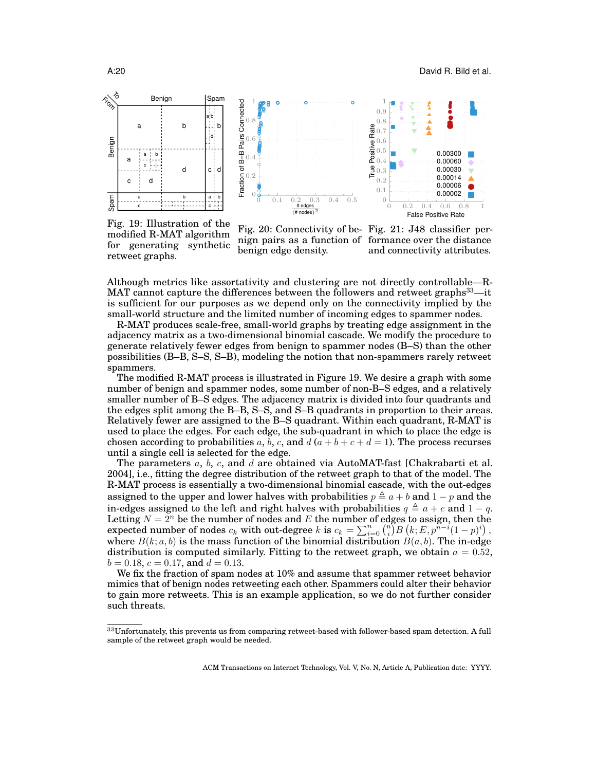<span id="page-19-1"></span>

Fig. 19: Illustration of the modified R-MAT algorithm for generating synthetic retweet graphs.

Fig. 20: Connectivity of be-Fig. 21: J48 classifier pernign pairs as a function of formance over the distance benign edge density.

and connectivity attributes.

Although metrics like assortativity and clustering are not directly controllable—R-MAT cannot capture the differences between the followers and retweet graphs<sup>[33](#page-19-0)</sup>—it is sufficient for our purposes as we depend only on the connectivity implied by the small-world structure and the limited number of incoming edges to spammer nodes.

R-MAT produces scale-free, small-world graphs by treating edge assignment in the adjacency matrix as a two-dimensional binomial cascade. We modify the procedure to generate relatively fewer edges from benign to spammer nodes (B–S) than the other possibilities (B–B, S–S, S–B), modeling the notion that non-spammers rarely retweet spammers.

The modified R-MAT process is illustrated in [Figure 19.](#page-19-1) We desire a graph with some number of benign and spammer nodes, some number of non-B–S edges, and a relatively smaller number of B–S edges. The adjacency matrix is divided into four quadrants and the edges split among the B–B, S–S, and S–B quadrants in proportion to their areas. Relatively fewer are assigned to the B–S quadrant. Within each quadrant, R-MAT is used to place the edges. For each edge, the sub-quadrant in which to place the edge is chosen according to probabilities a, b, c, and  $d(a + b + c + d = 1)$ . The process recurses until a single cell is selected for the edge.

The parameters  $a, b, c$ , and  $d$  are obtained via AutoMAT-fast [\[Chakrabarti et al.](#page-21-18) [2004\]](#page-21-18), i.e., fitting the degree distribution of the retweet graph to that of the model. The R-MAT process is essentially a two-dimensional binomial cascade, with the out-edges assigned to the upper and lower halves with probabilities  $p \triangleq a + b$  and  $1 - p$  and the in-edges assigned to the left and right halves with probabilities  $q \triangleq a + c$  and  $1 - q$ . Letting  $N = 2^n$  be the number of nodes and E the number of edges to assign, then the  $\text{expected number of nodes } c_k \text{ with out-degree } k \text{ is } c_k = \sum_{i=0}^n \binom{n}{i} B\left(k;E,p^{n-i}(1-p)^i\right),$ where  $B(k; a, b)$  is the mass function of the binomial distribution  $B(a, b)$ . The in-edge distribution is computed similarly. Fitting to the retweet graph, we obtain  $a = 0.52$ ,  $b = 0.18$ ,  $c = 0.17$ , and  $d = 0.13$ .

We fix the fraction of spam nodes at 10% and assume that spammer retweet behavior mimics that of benign nodes retweeting each other. Spammers could alter their behavior to gain more retweets. This is an example application, so we do not further consider such threats.

<span id="page-19-0"></span> $33$ Unfortunately, this prevents us from comparing retweet-based with follower-based spam detection. A full sample of the retweet graph would be needed.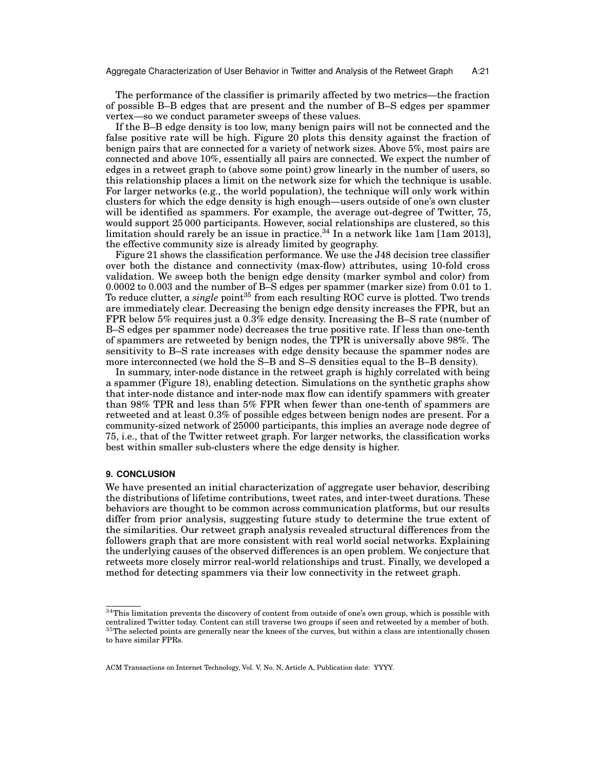The performance of the classifier is primarily affected by two metrics—the fraction of possible B–B edges that are present and the number of B–S edges per spammer vertex—so we conduct parameter sweeps of these values.

If the B–B edge density is too low, many benign pairs will not be connected and the false positive rate will be high. [Figure 20](#page-19-1) plots this density against the fraction of benign pairs that are connected for a variety of network sizes. Above 5%, most pairs are connected and above 10%, essentially all pairs are connected. We expect the number of edges in a retweet graph to (above some point) grow linearly in the number of users, so this relationship places a limit on the network size for which the technique is usable. For larger networks (e.g., the world population), the technique will only work within clusters for which the edge density is high enough—users outside of one's own cluster will be identified as spammers. For example, the average out-degree of Twitter, 75, would support 25 000 participants. However, social relationships are clustered, so this limitation should rarely be an issue in practice.<sup>[34](#page-20-0)</sup> In a network like 1am [\[1am 2013\]](#page-21-4), the effective community size is already limited by geography.

[Figure 21](#page-19-1) shows the classification performance. We use the J48 decision tree classifier over both the distance and connectivity (max-flow) attributes, using 10-fold cross validation. We sweep both the benign edge density (marker symbol and color) from 0.0002 to 0.003 and the number of B–S edges per spammer (marker size) from 0.01 to 1. To reduce clutter, a *single* point<sup>[35](#page-20-1)</sup> from each resulting ROC curve is plotted. Two trends are immediately clear. Decreasing the benign edge density increases the FPR, but an FPR below 5% requires just a 0.3% edge density. Increasing the B–S rate (number of B–S edges per spammer node) decreases the true positive rate. If less than one-tenth of spammers are retweeted by benign nodes, the TPR is universally above 98%. The sensitivity to B–S rate increases with edge density because the spammer nodes are more interconnected (we hold the S–B and S–S densities equal to the B–B density).

In summary, inter-node distance in the retweet graph is highly correlated with being a spammer [\(Figure 18\)](#page-15-1), enabling detection. Simulations on the synthetic graphs show that inter-node distance and inter-node max flow can identify spammers with greater than 98% TPR and less than 5% FPR when fewer than one-tenth of spammers are retweeted and at least 0.3% of possible edges between benign nodes are present. For a community-sized network of 25000 participants, this implies an average node degree of 75, i.e., that of the Twitter retweet graph. For larger networks, the classification works best within smaller sub-clusters where the edge density is higher.

### **9. CONCLUSION**

We have presented an initial characterization of aggregate user behavior, describing the distributions of lifetime contributions, tweet rates, and inter-tweet durations. These behaviors are thought to be common across communication platforms, but our results differ from prior analysis, suggesting future study to determine the true extent of the similarities. Our retweet graph analysis revealed structural differences from the followers graph that are more consistent with real world social networks. Explaining the underlying causes of the observed differences is an open problem. We conjecture that retweets more closely mirror real-world relationships and trust. Finally, we developed a method for detecting spammers via their low connectivity in the retweet graph.

<span id="page-20-1"></span><span id="page-20-0"></span> $^{34}\rm{This}$  limitation prevents the discovery of content from outside of one's own group, which is possible with centralized Twitter today. Content can still traverse two groups if seen and retweeted by a member of both.  $35$ The selected points are generally near the knees of the curves, but within a class are intentionally chosen to have similar FPRs.

ACM Transactions on Internet Technology, Vol. V, No. N, Article A, Publication date: YYYY.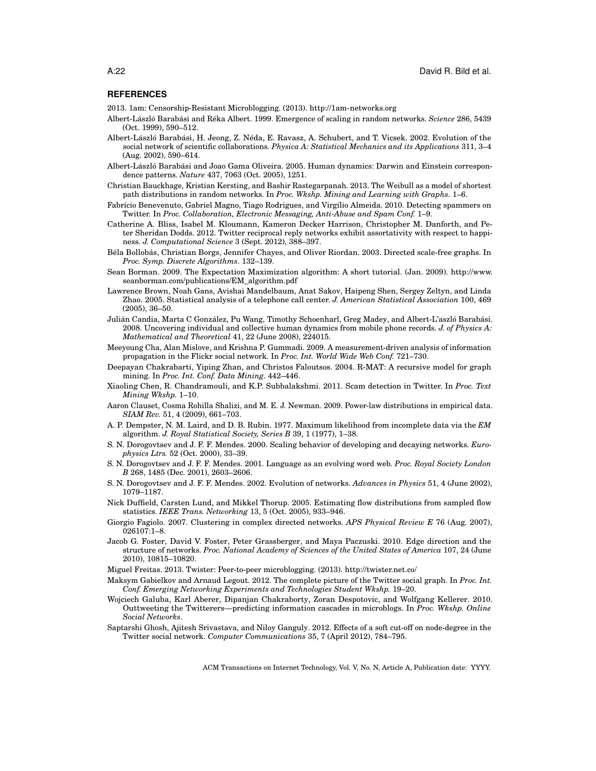#### **REFERENCES**

<span id="page-21-4"></span>2013. 1am: Censorship-Resistant Microblogging. (2013).<http://1am-networks.org>

- <span id="page-21-11"></span>Albert-László Barabási and Réka Albert. 1999. Emergence of scaling in random networks. *Science* 286, 5439 (Oct. 1999), 590–512.
- <span id="page-21-12"></span>Albert-László Barabási, H. Jeong, Z. Néda, E. Ravasz, A. Schubert, and T. Vicsek. 2002. Evolution of the social network of scientific collaborations. *Physica A: Statistical Mechanics and its Applications* 311, 3–4 (Aug. 2002), 590–614.
- <span id="page-21-17"></span>Albert-László Barabási and Joao Gama Oliveira. 2005. Human dynamics: Darwin and Einstein correspondence patterns. *Nature* 437, 7063 (Oct. 2005), 1251.
- <span id="page-21-22"></span>Christian Bauckhage, Kristian Kersting, and Bashir Rastegarpanah. 2013. The Weibull as a model of shortest path distributions in random networks. In *Proc. Wkshp. Mining and Learning with Graphs*. 1–6.
- <span id="page-21-20"></span>Fabrício Benevenuto, Gabriel Magno, Tiago Rodrigues, and Virgílio Almeida. 2010. Detecting spammers on Twitter. In *Proc. Collaboration, Electronic Messaging, Anti-Abuse and Spam Conf.* 1–9.
- <span id="page-21-0"></span>Catherine A. Bliss, Isabel M. Kloumann, Kameron Decker Harrison, Christopher M. Danforth, and Peter Sheridan Dodds. 2012. Twitter reciprocal reply networks exhibit assortativity with respect to happiness. *J. Computational Science* 3 (Sept. 2012), 388–397.
- <span id="page-21-19"></span>Béla Bollobás, Christian Borgs, Jennifer Chayes, and Oliver Riordan. 2003. Directed scale-free graphs. In *Proc. Symp. Discrete Algorithms*. 132–139.
- <span id="page-21-9"></span>Sean Borman. 2009. The Expectation Maximization algorithm: A short tutorial. (Jan. 2009). [http://www.](http://www.seanborman.com/publications/EM_algorithm.pdf) [seanborman.com/publications/EM\\_algorithm.pdf](http://www.seanborman.com/publications/EM_algorithm.pdf)
- <span id="page-21-16"></span>Lawrence Brown, Noah Gans, Avishai Mandelbaum, Anat Sakov, Haipeng Shen, Sergey Zeltyn, and Linda Zhao. 2005. Statistical analysis of a telephone call center. *J. American Statistical Association* 100, 469 (2005), 36–50.
- <span id="page-21-6"></span>Julián Candia, Marta C González, Pu Wang, Timothy Schoenharl, Greg Madey, and Albert-L'aszló Barabási. 2008. Uncovering individual and collective human dynamics from mobile phone records. *J. of Physics A: Mathematical and Theoretical* 41, 22 (June 2008), 224015.
- <span id="page-21-21"></span>Meeyoung Cha, Alan Mislove, and Krishna P. Gummadi. 2009. A measurement-driven analysis of information propagation in the Flickr social network. In *Proc. Int. World Wide Web Conf.* 721–730.
- <span id="page-21-18"></span>Deepayan Chakrabarti, Yiping Zhan, and Christos Faloutsos. 2004. R-MAT: A recursive model for graph mining. In *Proc. Int. Conf. Data Mining*. 442–446.
- <span id="page-21-25"></span>Xiaoling Chen, R. Chandramouli, and K.P. Subbalakshmi. 2011. Scam detection in Twitter. In *Proc. Text Mining Wkshp.* 1–10.
- <span id="page-21-10"></span>Aaron Clauset, Cosma Rohilla Shalizi, and M. E. J. Newman. 2009. Power-law distributions in empirical data. *SIAM Rev.* 51, 4 (2009), 661–703.
- <span id="page-21-8"></span>A. P. Dempster, N. M. Laird, and D. B. Rubin. 1977. Maximum likelihood from incomplete data via the *EM* algorithm. *J. Royal Statistical Society, Series B* 39, 1 (1977), 1–38.
- <span id="page-21-15"></span>S. N. Dorogovtsev and J. F. F. Mendes. 2000. Scaling behavior of developing and decaying networks. *Europhysics Ltrs.* 52 (Oct. 2000), 33–39.
- <span id="page-21-14"></span>S. N. Dorogovtsev and J. F. F. Mendes. 2001. Language as an evolving word web. *Proc. Royal Society London B* 268, 1485 (Dec. 2001), 2603–2606.
- <span id="page-21-13"></span>S. N. Dorogovtsev and J. F. F. Mendes. 2002. Evolution of networks. *Advances in Physics* 51, 4 (June 2002), 1079–1187.
- <span id="page-21-7"></span>Nick Duffield, Carsten Lund, and Mikkel Thorup. 2005. Estimating flow distributions from sampled flow statistics. *IEEE Trans. Networking* 13, 5 (Oct. 2005), 933–946.
- <span id="page-21-24"></span>Giorgio Fagiolo. 2007. Clustering in complex directed networks. *APS Physical Review E* 76 (Aug. 2007), 026107:1–8.
- <span id="page-21-23"></span>Jacob G. Foster, David V. Foster, Peter Grassberger, and Maya Paczuski. 2010. Edge direction and the structure of networks. *Proc. National Academy of Sciences of the United States of America* 107, 24 (June 2010), 10815–10820.
- <span id="page-21-5"></span>Miguel Freitas. 2013. Twister: Peer-to-peer microblogging. (2013).<http://twister.net.co/>
- <span id="page-21-1"></span>Maksym Gabielkov and Arnaud Legout. 2012. The complete picture of the Twitter social graph. In *Proc. Int. Conf. Emerging Networking Experiments and Technologies Student Wkshp.* 19–20.
- <span id="page-21-3"></span>Wojciech Galuba, Karl Aberer, Dipanjan Chakraborty, Zoran Despotovic, and Wolfgang Kellerer. 2010. Outtweeting the Twitterers—predicting information cascades in microblogs. In *Proc. Wkshp. Online Social Networks*.
- <span id="page-21-2"></span>Saptarshi Ghosh, Ajitesh Srivastava, and Niloy Ganguly. 2012. Effects of a soft cut-off on node-degree in the Twitter social network. *Computer Communications* 35, 7 (April 2012), 784–795.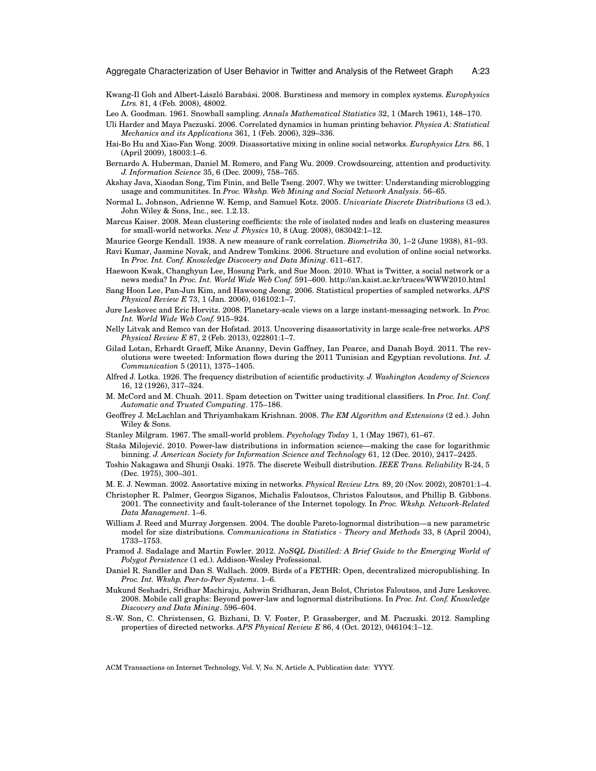- <span id="page-22-17"></span>Kwang-Il Goh and Albert-László Barabási. 2008. Burstiness and memory in complex systems. *Europhysics Ltrs.* 81, 4 (Feb. 2008), 48002.
- <span id="page-22-5"></span>Leo A. Goodman. 1961. Snowball sampling. *Annals Mathematical Statistics* 32, 1 (March 1961), 148–170.
- <span id="page-22-16"></span>Uli Harder and Maya Paczuski. 2006. Correlated dynamics in human printing behavior. *Physica A: Statistical Mechanics and its Applications* 361, 1 (Feb. 2006), 329–336.
- <span id="page-22-23"></span>Hai-Bo Hu and Xiao-Fan Wong. 2009. Disassortative mixing in online social networks. *Europhysics Ltrs.* 86, 1 (April 2009), 18003:1–6.
- <span id="page-22-9"></span>Bernardo A. Huberman, Daniel M. Romero, and Fang Wu. 2009. Crowdsourcing, attention and productivity. *J. Information Science* 35, 6 (Dec. 2009), 758–765.
- <span id="page-22-1"></span>Akshay Java, Xiaodan Song, Tim Finin, and Belle Tseng. 2007. Why we twitter: Understanding microblogging usage and communitites. In *Proc. Wkshp. Web Mining and Social Network Analysis*. 56–65.
- <span id="page-22-11"></span>Normal L. Johnson, Adrienne W. Kemp, and Samuel Kotz. 2005. *Univariate Discrete Distributions* (3 ed.). John Wiley & Sons, Inc., sec. 1.2.13.
- <span id="page-22-25"></span>Marcus Kaiser. 2008. Mean clustering coefficients: the role of isolated nodes and leafs on clustering measures for small-world networks. *New J. Physics* 10, 8 (Aug. 2008), 083042:1–12.
- <span id="page-22-12"></span>Maurice George Kendall. 1938. A new measure of rank correlation. *Biometrika* 30, 1–2 (June 1938), 81–93.
- <span id="page-22-18"></span>Ravi Kumar, Jasmine Novak, and Andrew Tomkins. 2006. Structure and evolution of online social networks. In *Proc. Int. Conf. Knowledge Discovery and Data Mining*. 611–617.
- <span id="page-22-0"></span>Haewoon Kwak, Changhyun Lee, Hosung Park, and Sue Moon. 2010. What is Twitter, a social network or a news media? In *Proc. Int. World Wide Web Conf.* 591–600.<http://an.kaist.ac.kr/traces/WWW2010.html>
- <span id="page-22-6"></span>Sang Hoon Lee, Pan-Jun Kim, and Hawoong Jeong. 2006. Statistical properties of sampled networks. *APS Physical Review E* 73, 1 (Jan. 2006), 016102:1–7.
- <span id="page-22-20"></span>Jure Leskovec and Eric Horvitz. 2008. Planetary-scale views on a large instant-messaging network. In *Proc. Int. World Wide Web Conf.* 915–924.
- <span id="page-22-24"></span>Nelly Litvak and Remco van der Hofstad. 2013. Uncovering disassortativity in large scale-free networks. *APS Physical Review E* 87, 2 (Feb. 2013), 022801:1–7.
- <span id="page-22-2"></span>Gilad Lotan, Erhardt Graeff, Mike Ananny, Devin Gaffney, Ian Pearce, and Danah Boyd. 2011. The revolutions were tweeted: Information flows during the 2011 Tunisian and Egyptian revolutions. *Int. J. Communication* 5 (2011), 1375–1405.
- <span id="page-22-14"></span>Alfred J. Lotka. 1926. The frequency distribution of scientific productivity. *J. Washington Academy of Sciences* 16, 12 (1926), 317–324.
- <span id="page-22-27"></span>M. McCord and M. Chuah. 2011. Spam detection on Twitter using traditional classifiers. In *Proc. Int. Conf. Automatic and Trusted Computing*. 175–186.
- <span id="page-22-8"></span>Geoffrey J. McLachlan and Thriyambakam Krishnan. 2008. *The EM Algorithm and Extensions* (2 ed.). John Wiley & Sons.
- <span id="page-22-19"></span>Stanley Milgram. 1967. The small-world problem. *Psychology Today* 1, 1 (May 1967), 61–67.
- <span id="page-22-10"></span>Staša Milojevic. 2010. Power-law distributions in information science—making the case for logarithmic ´ binning. *J. American Society for Information Science and Technology* 61, 12 (Dec. 2010), 2417–2425.
- <span id="page-22-13"></span>Toshio Nakagawa and Shunji Osaki. 1975. The discrete Weibull distribution. *IEEE Trans. Reliability* R-24, 5 (Dec. 1975), 300–301.
- <span id="page-22-22"></span>M. E. J. Newman. 2002. Assortative mixing in networks. *Physical Review Ltrs.* 89, 20 (Nov. 2002), 208701:1–4.
- <span id="page-22-21"></span>Christopher R. Palmer, Georgos Siganos, Michalis Faloutsos, Christos Faloutsos, and Phillip B. Gibbons. 2001. The connectivity and fault-tolerance of the Internet topology. In *Proc. Wkshp. Network-Related Data Management*. 1–6.
- <span id="page-22-15"></span>William J. Reed and Murray Jorgensen. 2004. The double Pareto-lognormal distribution—a new parametric model for size distributions. *Communications in Statistics - Theory and Methods* 33, 8 (April 2004), 1733–1753.
- <span id="page-22-26"></span>Pramod J. Sadalage and Martin Fowler. 2012. *NoSQL Distilled: A Brief Guide to the Emerging World of Polygot Persistence* (1 ed.). Addison-Wesley Professional.
- <span id="page-22-3"></span>Daniel R. Sandler and Dan S. Wallach. 2009. Birds of a FETHR: Open, decentralized micropublishing. In *Proc. Int. Wkshp. Peer-to-Peer Systems*. 1–6.
- <span id="page-22-4"></span>Mukund Seshadri, Sridhar Machiraju, Ashwin Sridharan, Jean Bolot, Christos Faloutsos, and Jure Leskovec. 2008. Mobile call graphs: Beyond power-law and lognormal distributions. In *Proc. Int. Conf. Knowledge Discovery and Data Mining*. 596–604.
- <span id="page-22-7"></span>S.-W. Son, C. Christensen, G. Bizhani, D. V. Foster, P. Grassberger, and M. Paczuski. 2012. Sampling properties of directed networks. *APS Physical Review E* 86, 4 (Oct. 2012), 046104:1–12.